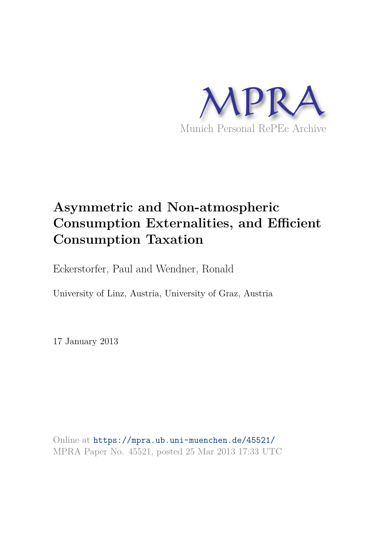

# **Asymmetric and Non-atmospheric Consumption Externalities, and Efficient Consumption Taxation**

Eckerstorfer, Paul and Wendner, Ronald

University of Linz, Austria, University of Graz, Austria

17 January 2013

Online at https://mpra.ub.uni-muenchen.de/45521/ MPRA Paper No. 45521, posted 25 Mar 2013 17:33 UTC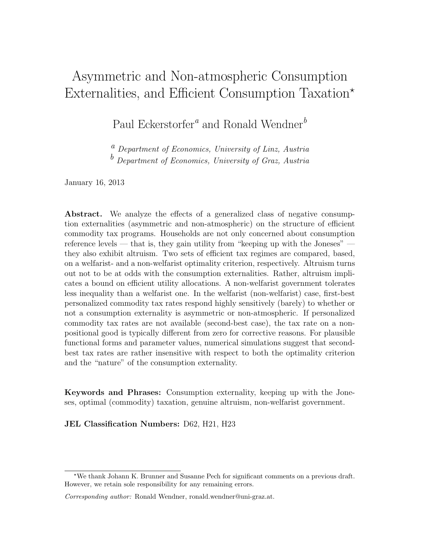# Asymmetric and Non-atmospheric Consumption Externalities, and Efficient Consumption Taxation<sup>\*</sup>

Paul Eckerstorfer<sup>a</sup> and Ronald Wendner<sup>b</sup>

 $a$  Department of Economics, University of Linz, Austria  $\bar{b}$  Department of Economics, University of Graz, Austria

January 16, 2013

Abstract. We analyze the effects of a generalized class of negative consumption externalities (asymmetric and non-atmospheric) on the structure of efficient commodity tax programs. Households are not only concerned about consumption reference levels — that is, they gain utility from "keeping up with the Joneses" they also exhibit altruism. Two sets of efficient tax regimes are compared, based, on a welfarist- and a non-welfarist optimality criterion, respectively. Altruism turns out not to be at odds with the consumption externalities. Rather, altruism implicates a bound on efficient utility allocations. A non-welfarist government tolerates less inequality than a welfarist one. In the welfarist (non-welfarist) case, first-best personalized commodity tax rates respond highly sensitively (barely) to whether or not a consumption externality is asymmetric or non-atmospheric. If personalized commodity tax rates are not available (second-best case), the tax rate on a nonpositional good is typically different from zero for corrective reasons. For plausible functional forms and parameter values, numerical simulations suggest that secondbest tax rates are rather insensitive with respect to both the optimality criterion and the "nature" of the consumption externality.

Keywords and Phrases: Consumption externality, keeping up with the Joneses, optimal (commodity) taxation, genuine altruism, non-welfarist government.

JEL Classification Numbers: D62, H21, H23

<sup>⋆</sup>We thank Johann K. Brunner and Susanne Pech for significant comments on a previous draft. However, we retain sole responsibility for any remaining errors.

Corresponding author: Ronald Wendner, ronald.wendner@uni-graz.at.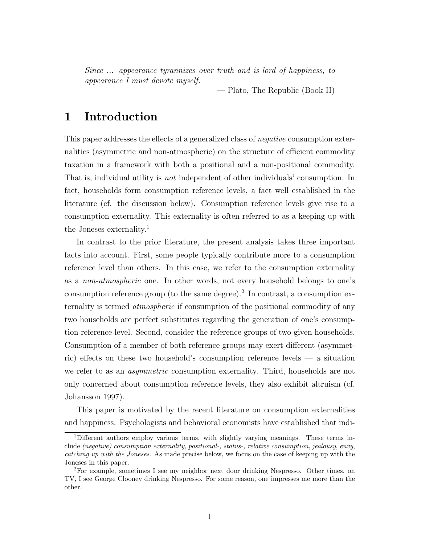Since ... appearance tyrannizes over truth and is lord of happiness, to appearance I must devote myself.

. — Plato, The Republic (Book II)

# 1 Introduction

This paper addresses the effects of a generalized class of *negative* consumption externalities (asymmetric and non-atmospheric) on the structure of efficient commodity taxation in a framework with both a positional and a non-positional commodity. That is, individual utility is not independent of other individuals' consumption. In fact, households form consumption reference levels, a fact well established in the literature (cf. the discussion below). Consumption reference levels give rise to a consumption externality. This externality is often referred to as a keeping up with the Joneses externality.<sup>1</sup>

In contrast to the prior literature, the present analysis takes three important facts into account. First, some people typically contribute more to a consumption reference level than others. In this case, we refer to the consumption externality as a non-atmospheric one. In other words, not every household belongs to one's consumption reference group (to the same degree).<sup>2</sup> In contrast, a consumption externality is termed atmospheric if consumption of the positional commodity of any two households are perfect substitutes regarding the generation of one's consumption reference level. Second, consider the reference groups of two given households. Consumption of a member of both reference groups may exert different (asymmetric) effects on these two household's consumption reference levels — a situation we refer to as an *asymmetric* consumption externality. Third, households are not only concerned about consumption reference levels, they also exhibit altruism (cf. Johansson 1997).

This paper is motivated by the recent literature on consumption externalities and happiness. Psychologists and behavioral economists have established that indi-

<sup>1</sup>Different authors employ various terms, with slightly varying meanings. These terms include (negative) consumption externality, positional-, status-, relative consumption, jealousy, envy, catching up with the Joneses. As made precise below, we focus on the case of keeping up with the Joneses in this paper.

<sup>2</sup>For example, sometimes I see my neighbor next door drinking Nespresso. Other times, on TV, I see George Clooney drinking Nespresso. For some reason, one impresses me more than the other.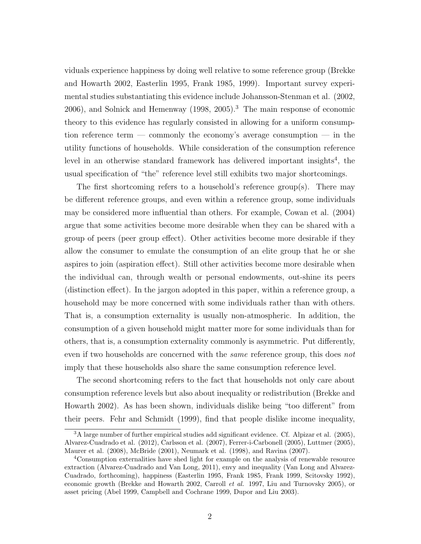viduals experience happiness by doing well relative to some reference group (Brekke and Howarth 2002, Easterlin 1995, Frank 1985, 1999). Important survey experimental studies substantiating this evidence include Johansson-Stenman et al. (2002,  $2006$ ), and Solnick and Hemenway (1998, 2005).<sup>3</sup> The main response of economic theory to this evidence has regularly consisted in allowing for a uniform consumption reference term — commonly the economy's average consumption — in the utility functions of households. While consideration of the consumption reference level in an otherwise standard framework has delivered important insights<sup>4</sup>, the usual specification of "the" reference level still exhibits two major shortcomings.

The first shortcoming refers to a household's reference group(s). There may be different reference groups, and even within a reference group, some individuals may be considered more influential than others. For example, Cowan et al. (2004) argue that some activities become more desirable when they can be shared with a group of peers (peer group effect). Other activities become more desirable if they allow the consumer to emulate the consumption of an elite group that he or she aspires to join (aspiration effect). Still other activities become more desirable when the individual can, through wealth or personal endowments, out-shine its peers (distinction effect). In the jargon adopted in this paper, within a reference group, a household may be more concerned with some individuals rather than with others. That is, a consumption externality is usually non-atmospheric. In addition, the consumption of a given household might matter more for some individuals than for others, that is, a consumption externality commonly is asymmetric. Put differently, even if two households are concerned with the *same* reference group, this does not imply that these households also share the same consumption reference level.

The second shortcoming refers to the fact that households not only care about consumption reference levels but also about inequality or redistribution (Brekke and Howarth 2002). As has been shown, individuals dislike being "too different" from their peers. Fehr and Schmidt (1999), find that people dislike income inequality,

<sup>&</sup>lt;sup>3</sup>A large number of further empirical studies add significant evidence. Cf. Alpizar et al. (2005), Alvarez-Cuadrado et al. (2012), Carlsson et al. (2007), Ferrer-i-Carbonell (2005), Luttmer (2005), Maurer et al. (2008), McBride (2001), Neumark et al. (1998), and Ravina (2007).

<sup>4</sup>Consumption externalities have shed light for example on the analysis of renewable resource extraction (Alvarez-Cuadrado and Van Long, 2011), envy and inequality (Van Long and Alvarez-Cuadrado, forthcoming), happiness (Easterlin 1995, Frank 1985, Frank 1999, Scitovsky 1992), economic growth (Brekke and Howarth 2002, Carroll et al. 1997, Liu and Turnovsky 2005), or asset pricing (Abel 1999, Campbell and Cochrane 1999, Dupor and Liu 2003).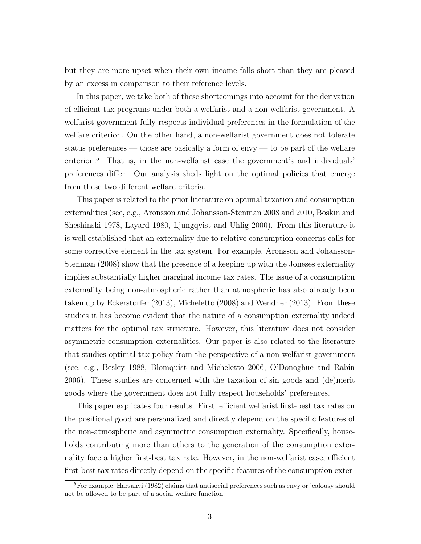but they are more upset when their own income falls short than they are pleased by an excess in comparison to their reference levels.

In this paper, we take both of these shortcomings into account for the derivation of efficient tax programs under both a welfarist and a non-welfarist government. A welfarist government fully respects individual preferences in the formulation of the welfare criterion. On the other hand, a non-welfarist government does not tolerate status preferences — those are basically a form of envy — to be part of the welfare criterion.<sup>5</sup> That is, in the non-welfarist case the government's and individuals' preferences differ. Our analysis sheds light on the optimal policies that emerge from these two different welfare criteria.

This paper is related to the prior literature on optimal taxation and consumption externalities (see, e.g., Aronsson and Johansson-Stenman 2008 and 2010, Boskin and Sheshinski 1978, Layard 1980, Ljungqvist and Uhlig 2000). From this literature it is well established that an externality due to relative consumption concerns calls for some corrective element in the tax system. For example, Aronsson and Johansson-Stenman (2008) show that the presence of a keeping up with the Joneses externality implies substantially higher marginal income tax rates. The issue of a consumption externality being non-atmospheric rather than atmospheric has also already been taken up by Eckerstorfer (2013), Micheletto (2008) and Wendner (2013). From these studies it has become evident that the nature of a consumption externality indeed matters for the optimal tax structure. However, this literature does not consider asymmetric consumption externalities. Our paper is also related to the literature that studies optimal tax policy from the perspective of a non-welfarist government (see, e.g., Besley 1988, Blomquist and Micheletto 2006, O'Donoghue and Rabin 2006). These studies are concerned with the taxation of sin goods and (de)merit goods where the government does not fully respect households' preferences.

This paper explicates four results. First, efficient welfarist first-best tax rates on the positional good are personalized and directly depend on the specific features of the non-atmospheric and asymmetric consumption externality. Specifically, households contributing more than others to the generation of the consumption externality face a higher first-best tax rate. However, in the non-welfarist case, efficient first-best tax rates directly depend on the specific features of the consumption exter-

 ${}^{5}$ For example, Harsanyi (1982) claims that antisocial preferences such as envy or jealousy should not be allowed to be part of a social welfare function.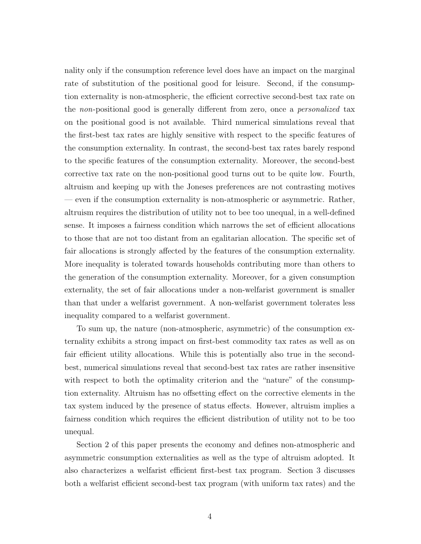nality only if the consumption reference level does have an impact on the marginal rate of substitution of the positional good for leisure. Second, if the consumption externality is non-atmospheric, the efficient corrective second-best tax rate on the non-positional good is generally different from zero, once a personalized tax on the positional good is not available. Third numerical simulations reveal that the first-best tax rates are highly sensitive with respect to the specific features of the consumption externality. In contrast, the second-best tax rates barely respond to the specific features of the consumption externality. Moreover, the second-best corrective tax rate on the non-positional good turns out to be quite low. Fourth, altruism and keeping up with the Joneses preferences are not contrasting motives — even if the consumption externality is non-atmospheric or asymmetric. Rather, altruism requires the distribution of utility not to bee too unequal, in a well-defined sense. It imposes a fairness condition which narrows the set of efficient allocations to those that are not too distant from an egalitarian allocation. The specific set of fair allocations is strongly affected by the features of the consumption externality. More inequality is tolerated towards households contributing more than others to the generation of the consumption externality. Moreover, for a given consumption externality, the set of fair allocations under a non-welfarist government is smaller than that under a welfarist government. A non-welfarist government tolerates less inequality compared to a welfarist government.

To sum up, the nature (non-atmospheric, asymmetric) of the consumption externality exhibits a strong impact on first-best commodity tax rates as well as on fair efficient utility allocations. While this is potentially also true in the secondbest, numerical simulations reveal that second-best tax rates are rather insensitive with respect to both the optimality criterion and the "nature" of the consumption externality. Altruism has no offsetting effect on the corrective elements in the tax system induced by the presence of status effects. However, altruism implies a fairness condition which requires the efficient distribution of utility not to be too unequal.

Section 2 of this paper presents the economy and defines non-atmospheric and asymmetric consumption externalities as well as the type of altruism adopted. It also characterizes a welfarist efficient first-best tax program. Section 3 discusses both a welfarist efficient second-best tax program (with uniform tax rates) and the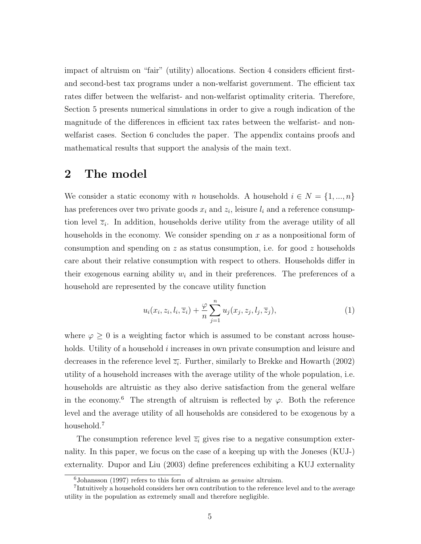impact of altruism on "fair" (utility) allocations. Section 4 considers efficient firstand second-best tax programs under a non-welfarist government. The efficient tax rates differ between the welfarist- and non-welfarist optimality criteria. Therefore, Section 5 presents numerical simulations in order to give a rough indication of the magnitude of the differences in efficient tax rates between the welfarist- and nonwelfarist cases. Section 6 concludes the paper. The appendix contains proofs and mathematical results that support the analysis of the main text.

## 2 The model

We consider a static economy with n households. A household  $i \in N = \{1, ..., n\}$ has preferences over two private goods  $x_i$  and  $z_i$ , leisure  $l_i$  and a reference consumption level  $\overline{z}_i$ . In addition, households derive utility from the average utility of all households in the economy. We consider spending on x as a nonpositional form of consumption and spending on z as status consumption, i.e. for good z households care about their relative consumption with respect to others. Households differ in their exogenous earning ability  $w_i$  and in their preferences. The preferences of a household are represented by the concave utility function

$$
u_i(x_i, z_i, l_i, \overline{z}_i) + \frac{\varphi}{n} \sum_{j=1}^n u_j(x_j, z_j, l_j, \overline{z}_j), \tag{1}
$$

where  $\varphi \geq 0$  is a weighting factor which is assumed to be constant across households. Utility of a household i increases in own private consumption and leisure and decreases in the reference level  $\overline{z_i}$ . Further, similarly to Brekke and Howarth (2002) utility of a household increases with the average utility of the whole population, i.e. households are altruistic as they also derive satisfaction from the general welfare in the economy.<sup>6</sup> The strength of altruism is reflected by  $\varphi$ . Both the reference level and the average utility of all households are considered to be exogenous by a household.<sup>7</sup>

The consumption reference level  $\overline{z_i}$  gives rise to a negative consumption externality. In this paper, we focus on the case of a keeping up with the Joneses (KUJ-) externality. Dupor and Liu (2003) define preferences exhibiting a KUJ externality

 $6Johansson (1997)$  refers to this form of altruism as *genuine* altruism.

<sup>7</sup> Intuitively a household considers her own contribution to the reference level and to the average utility in the population as extremely small and therefore negligible.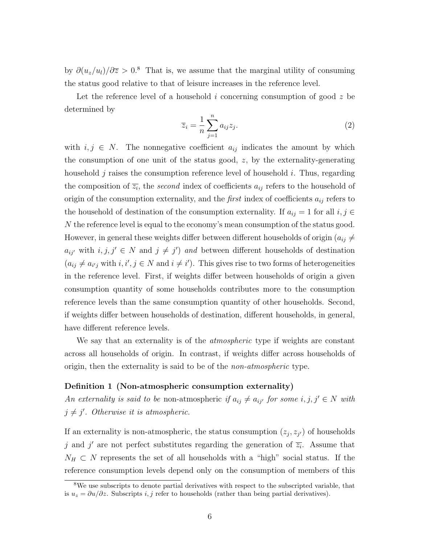by  $\partial(u_z/u_l)/\partial\overline{z} > 0.8$  That is, we assume that the marginal utility of consuming the status good relative to that of leisure increases in the reference level.

Let the reference level of a household i concerning consumption of good  $z$  be determined by

$$
\overline{z}_i = \frac{1}{n} \sum_{j=1}^n a_{ij} z_j.
$$
\n
$$
(2)
$$

with  $i, j \in N$ . The nonnegative coefficient  $a_{ij}$  indicates the amount by which the consumption of one unit of the status good,  $z$ , by the externality-generating household j raises the consumption reference level of household i. Thus, regarding the composition of  $\overline{z_i}$ , the second index of coefficients  $a_{ij}$  refers to the household of origin of the consumption externality, and the *first* index of coefficients  $a_{ij}$  refers to the household of destination of the consumption externality. If  $a_{ij} = 1$  for all  $i, j \in$ N the reference level is equal to the economy's mean consumption of the status good. However, in general these weights differ between different households of origin  $(a_{ij} \neq a_{ij})$  $a_{ij'}$  with  $i, j, j' \in N$  and  $j \neq j'$  and between different households of destination  $(a_{ij} \neq a_{i'j} \text{ with } i, i', j \in N \text{ and } i \neq i')$ . This gives rise to two forms of heterogeneities in the reference level. First, if weights differ between households of origin a given consumption quantity of some households contributes more to the consumption reference levels than the same consumption quantity of other households. Second, if weights differ between households of destination, different households, in general, have different reference levels.

We say that an externality is of the *atmospheric* type if weights are constant across all households of origin. In contrast, if weights differ across households of origin, then the externality is said to be of the *non-atmospheric* type.

#### Definition 1 (Non-atmospheric consumption externality)

An externality is said to be non-atmospheric if  $a_{ij} \neq a_{ij'}$  for some  $i, j, j' \in N$  with  $j \neq j'$ . Otherwise it is atmospheric.

If an externality is non-atmospheric, the status consumption  $(z_j, z_{j'})$  of households j and j' are not perfect substitutes regarding the generation of  $\overline{z_i}$ . Assume that  $N_H \subset N$  represents the set of all households with a "high" social status. If the reference consumption levels depend only on the consumption of members of this

<sup>&</sup>lt;sup>8</sup>We use subscripts to denote partial derivatives with respect to the subscripted variable, that is  $u_z = \partial u / \partial z$ . Subscripts *i, j* refer to households (rather than being partial derivatives).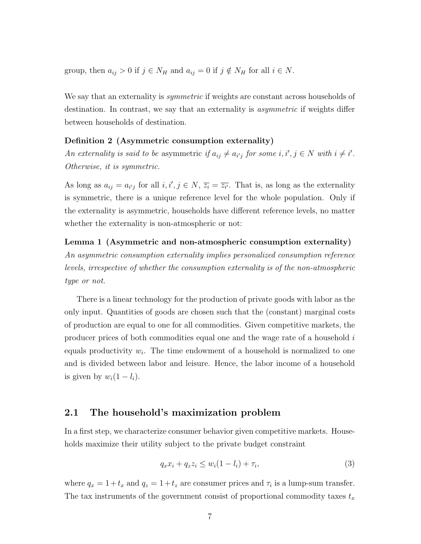group, then  $a_{ij} > 0$  if  $j \in N_H$  and  $a_{ij} = 0$  if  $j \notin N_H$  for all  $i \in N$ .

We say that an externality is *symmetric* if weights are constant across households of destination. In contrast, we say that an externality is *asymmetric* if weights differ between households of destination.

#### Definition 2 (Asymmetric consumption externality)

An externality is said to be asymmetric if  $a_{ij} \neq a_{i'j}$  for some  $i, i', j \in N$  with  $i \neq i'$ . Otherwise, it is symmetric.

As long as  $a_{ij} = a_{i'j}$  for all  $i, i', j \in N$ ,  $\overline{z_i} = \overline{z_{i'}}$ . That is, as long as the externality is symmetric, there is a unique reference level for the whole population. Only if the externality is asymmetric, households have different reference levels, no matter whether the externality is non-atmospheric or not:

# Lemma 1 (Asymmetric and non-atmospheric consumption externality) An asymmetric consumption externality implies personalized consumption reference levels, irrespective of whether the consumption externality is of the non-atmospheric type or not.

There is a linear technology for the production of private goods with labor as the only input. Quantities of goods are chosen such that the (constant) marginal costs of production are equal to one for all commodities. Given competitive markets, the producer prices of both commodities equal one and the wage rate of a household i equals productivity  $w_i$ . The time endowment of a household is normalized to one and is divided between labor and leisure. Hence, the labor income of a household is given by  $w_i(1 - l_i)$ .

### 2.1 The household's maximization problem

In a first step, we characterize consumer behavior given competitive markets. Households maximize their utility subject to the private budget constraint

$$
q_x x_i + q_z z_i \le w_i (1 - l_i) + \tau_i,\tag{3}
$$

where  $q_x = 1 + t_x$  and  $q_z = 1 + t_z$  are consumer prices and  $\tau_i$  is a lump-sum transfer. The tax instruments of the government consist of proportional commodity taxes  $t_x$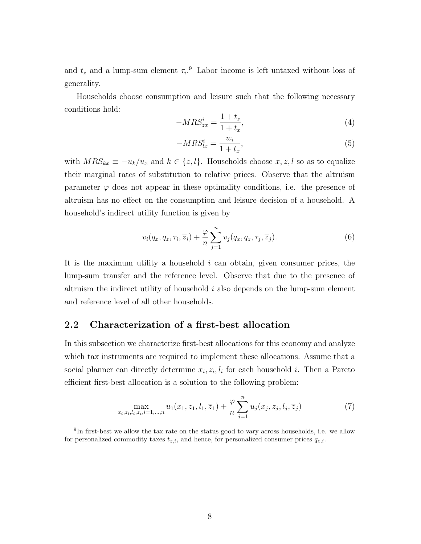and  $t_z$  and a lump-sum element  $\tau_i$ <sup>9</sup> Labor income is left untaxed without loss of generality.

Households choose consumption and leisure such that the following necessary conditions hold:

$$
-MRS_{zx}^i = \frac{1+t_z}{1+t_x},\tag{4}
$$

$$
-MRS_{lx}^i = \frac{w_i}{1+t_x},\tag{5}
$$

with  $MRS_{kx} \equiv -u_k/u_x$  and  $k \in \{z, l\}$ . Households choose  $x, z, l$  so as to equalize their marginal rates of substitution to relative prices. Observe that the altruism parameter  $\varphi$  does not appear in these optimality conditions, i.e. the presence of altruism has no effect on the consumption and leisure decision of a household. A household's indirect utility function is given by

$$
v_i(q_x, q_z, \tau_i, \overline{z}_i) + \frac{\varphi}{n} \sum_{j=1}^n v_j(q_x, q_z, \tau_j, \overline{z}_j).
$$
 (6)

It is the maximum utility a household  $i$  can obtain, given consumer prices, the lump-sum transfer and the reference level. Observe that due to the presence of altruism the indirect utility of household  $i$  also depends on the lump-sum element and reference level of all other households.

### 2.2 Characterization of a first-best allocation

In this subsection we characterize first-best allocations for this economy and analyze which tax instruments are required to implement these allocations. Assume that a social planner can directly determine  $x_i, z_i, l_i$  for each household i. Then a Pareto efficient first-best allocation is a solution to the following problem:

$$
\max_{x_i, z_i, l_i, \overline{z}_i, i=1,\dots,n} u_1(x_1, z_1, l_1, \overline{z}_1) + \frac{\varphi}{n} \sum_{j=1}^n u_j(x_j, z_j, l_j, \overline{z}_j)
$$
(7)

<sup>&</sup>lt;sup>9</sup>In first-best we allow the tax rate on the status good to vary across households, i.e. we allow for personalized commodity taxes  $t_{z,i}$ , and hence, for personalized consumer prices  $q_{z,i}$ .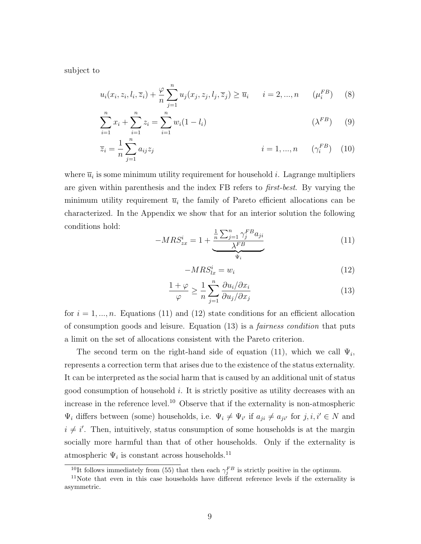subject to

$$
u_i(x_i, z_i, l_i, \overline{z}_i) + \frac{\varphi}{n} \sum_{j=1}^n u_j(x_j, z_j, l_j, \overline{z}_j) \ge \overline{u}_i \qquad i = 2, ..., n \qquad (\mu_i^{FB}) \qquad (8)
$$

$$
\sum_{i=1}^{n} x_i + \sum_{i=1}^{n} z_i = \sum_{i=1}^{n} w_i (1 - l_i)
$$
 (3)

$$
\overline{z}_{i} = \frac{1}{n} \sum_{j=1}^{n} a_{ij} z_{j} \qquad i = 1, ..., n \qquad (\gamma_{i}^{FB}) \quad (10)
$$

where  $\overline{u}_i$  is some minimum utility requirement for household *i*. Lagrange multipliers are given within parenthesis and the index FB refers to first-best. By varying the minimum utility requirement  $\bar{u}_i$  the family of Pareto efficient allocations can be characterized. In the Appendix we show that for an interior solution the following conditions hold:

$$
-MRS_{zx}^{i} = 1 + \underbrace{\frac{1}{n} \sum_{j=1}^{n} \gamma_{j}^{FB} a_{ji}}_{\Psi_{i}} \tag{11}
$$

$$
-MRS_{lx}^i = w_i \tag{12}
$$

$$
\frac{1+\varphi}{\varphi} \ge \frac{1}{n} \sum_{j=1}^{n} \frac{\partial u_j / \partial x_i}{\partial u_j / \partial x_j} \tag{13}
$$

for  $i = 1, ..., n$ . Equations (11) and (12) state conditions for an efficient allocation of consumption goods and leisure. Equation (13) is a fairness condition that puts a limit on the set of allocations consistent with the Pareto criterion.

The second term on the right-hand side of equation (11), which we call  $\Psi_i$ , represents a correction term that arises due to the existence of the status externality. It can be interpreted as the social harm that is caused by an additional unit of status good consumption of household i. It is strictly positive as utility decreases with an increase in the reference level.<sup>10</sup> Observe that if the externality is non-atmospheric  $\Psi_i$  differs between (some) households, i.e.  $\Psi_i \neq \Psi_{i'}$  if  $a_{ji} \neq a_{ji'}$  for  $j, i, i' \in N$  and  $i \neq i'$ . Then, intuitively, status consumption of some households is at the margin socially more harmful than that of other households. Only if the externality is atmospheric  $\Psi_i$  is constant across households.<sup>11</sup>

<sup>&</sup>lt;sup>10</sup>It follows immediately from (55) that then each  $\gamma_j^{FB}$  is strictly positive in the optimum.

<sup>11</sup>Note that even in this case households have different reference levels if the externality is asymmetric.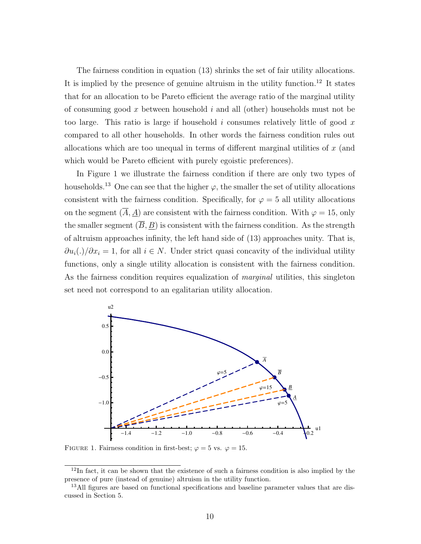The fairness condition in equation (13) shrinks the set of fair utility allocations. It is implied by the presence of genuine altruism in the utility function.<sup>12</sup> It states that for an allocation to be Pareto efficient the average ratio of the marginal utility of consuming good x between household i and all (other) households must not be too large. This ratio is large if household i consumes relatively little of good x compared to all other households. In other words the fairness condition rules out allocations which are too unequal in terms of different marginal utilities of  $x$  (and which would be Pareto efficient with purely egoistic preferences).

In Figure 1 we illustrate the fairness condition if there are only two types of households.<sup>13</sup> One can see that the higher  $\varphi$ , the smaller the set of utility allocations consistent with the fairness condition. Specifically, for  $\varphi = 5$  all utility allocations on the segment  $(A, \underline{A})$  are consistent with the fairness condition. With  $\varphi = 15$ , only the smaller segment  $(\overline{B}, \underline{B})$  is consistent with the fairness condition. As the strength of altruism approaches infinity, the left hand side of (13) approaches unity. That is,  $\partial u_i(.)/\partial x_i = 1$ , for all  $i \in N$ . Under strict quasi concavity of the individual utility functions, only a single utility allocation is consistent with the fairness condition. As the fairness condition requires equalization of *marginal* utilities, this singleton set need not correspond to an egalitarian utility allocation.



FIGURE 1. Fairness condition in first-best;  $\varphi = 5$  vs.  $\varphi = 15$ .

<sup>&</sup>lt;sup>12</sup>In fact, it can be shown that the existence of such a fairness condition is also implied by the presence of pure (instead of genuine) altruism in the utility function.

<sup>&</sup>lt;sup>13</sup>All figures are based on functional specifications and baseline parameter values that are discussed in Section 5.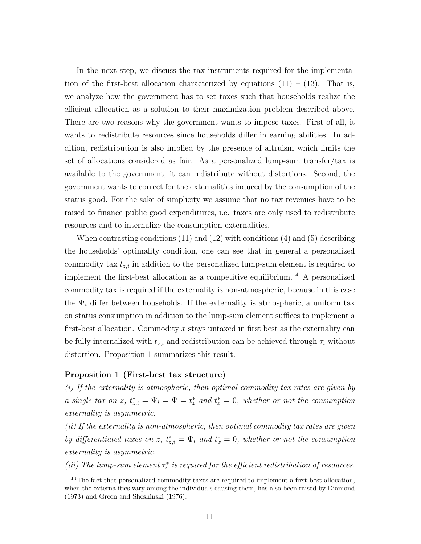In the next step, we discuss the tax instruments required for the implementation of the first-best allocation characterized by equations  $(11) - (13)$ . That is, we analyze how the government has to set taxes such that households realize the efficient allocation as a solution to their maximization problem described above. There are two reasons why the government wants to impose taxes. First of all, it wants to redistribute resources since households differ in earning abilities. In addition, redistribution is also implied by the presence of altruism which limits the set of allocations considered as fair. As a personalized lump-sum transfer/tax is available to the government, it can redistribute without distortions. Second, the government wants to correct for the externalities induced by the consumption of the status good. For the sake of simplicity we assume that no tax revenues have to be raised to finance public good expenditures, i.e. taxes are only used to redistribute resources and to internalize the consumption externalities.

When contrasting conditions  $(11)$  and  $(12)$  with conditions  $(4)$  and  $(5)$  describing the households' optimality condition, one can see that in general a personalized commodity tax  $t_{z,i}$  in addition to the personalized lump-sum element is required to implement the first-best allocation as a competitive equilibrium.<sup>14</sup> A personalized commodity tax is required if the externality is non-atmospheric, because in this case the  $\Psi_i$  differ between households. If the externality is atmospheric, a uniform tax on status consumption in addition to the lump-sum element suffices to implement a first-best allocation. Commodity x stays untaxed in first best as the externality can be fully internalized with  $t_{z,i}$  and redistribution can be achieved through  $\tau_i$  without distortion. Proposition 1 summarizes this result.

#### Proposition 1 (First-best tax structure)

(i) If the externality is atmospheric, then optimal commodity tax rates are given by a single tax on z,  $t_{z,i}^* = \Psi_i = \Psi = t_z^*$  and  $t_x^* = 0$ , whether or not the consumption externality is asymmetric.

(ii) If the externality is non-atmospheric, then optimal commodity tax rates are given by differentiated taxes on z,  $t_{z,i}^* = \Psi_i$  and  $t_x^* = 0$ , whether or not the consumption externality is asymmetric.

(iii) The lump-sum element  $\tau_i^*$  $\hat{i}$  is required for the efficient redistribution of resources.

 $14$ The fact that personalized commodity taxes are required to implement a first-best allocation, when the externalities vary among the individuals causing them, has also been raised by Diamond (1973) and Green and Sheshinski (1976).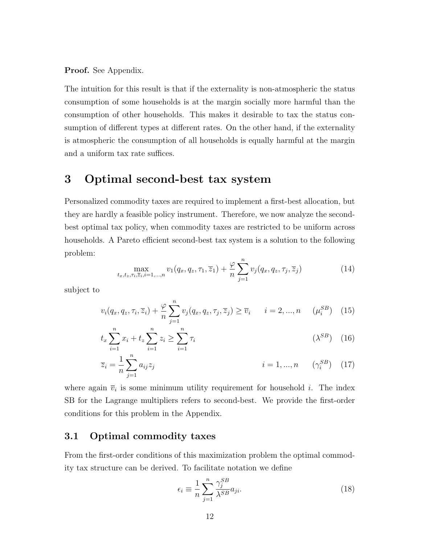Proof. See Appendix.

The intuition for this result is that if the externality is non-atmospheric the status consumption of some households is at the margin socially more harmful than the consumption of other households. This makes it desirable to tax the status consumption of different types at different rates. On the other hand, if the externality is atmospheric the consumption of all households is equally harmful at the margin and a uniform tax rate suffices.

# 3 Optimal second-best tax system

Personalized commodity taxes are required to implement a first-best allocation, but they are hardly a feasible policy instrument. Therefore, we now analyze the secondbest optimal tax policy, when commodity taxes are restricted to be uniform across households. A Pareto efficient second-best tax system is a solution to the following problem:

$$
\max_{t_x, t_z, \tau_i, \overline{z}_i, i=1,\dots,n} v_1(q_x, q_z, \tau_1, \overline{z}_1) + \frac{\varphi}{n} \sum_{j=1}^n v_j(q_x, q_z, \tau_j, \overline{z}_j)
$$
(14)

subject to

$$
v_i(q_x, q_z, \tau_i, \overline{z}_i) + \frac{\varphi}{n} \sum_{j=1}^n v_j(q_x, q_z, \tau_j, \overline{z}_j) \ge \overline{v}_i \qquad i = 2, ..., n \qquad (\mu_i^{SB}) \tag{15}
$$

$$
t_x \sum_{i=1}^{n} x_i + t_z \sum_{i=1}^{n} z_i \ge \sum_{i=1}^{n} \tau_i
$$
 (16)

$$
\overline{z}_{i} = \frac{1}{n} \sum_{j=1}^{n} a_{ij} z_{j} \qquad i = 1, ..., n \qquad (\gamma_{i}^{SB}) \quad (17)
$$

where again  $\bar{v}_i$  is some minimum utility requirement for household i. The index SB for the Lagrange multipliers refers to second-best. We provide the first-order conditions for this problem in the Appendix.

### 3.1 Optimal commodity taxes

From the first-order conditions of this maximization problem the optimal commodity tax structure can be derived. To facilitate notation we define

$$
\epsilon_i \equiv \frac{1}{n} \sum_{j=1}^n \frac{\gamma_j^{SB}}{\lambda^{SB}} a_{ji}.
$$
\n(18)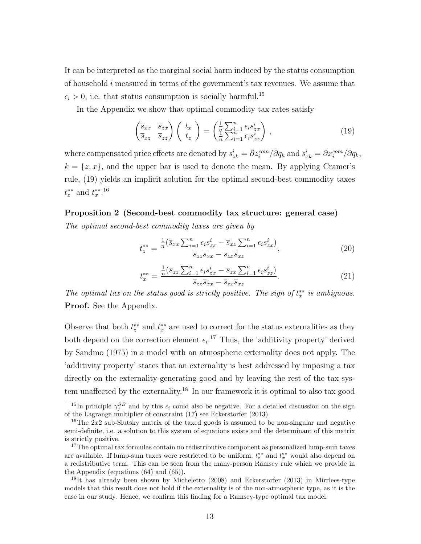It can be interpreted as the marginal social harm induced by the status consumption of household i measured in terms of the government's tax revenues. We assume that  $\epsilon_i > 0$ , i.e. that status consumption is socially harmful.<sup>15</sup>

In the Appendix we show that optimal commodity tax rates satisfy

$$
\begin{pmatrix}\n\overline{s}_{xx} & \overline{s}_{zx} \\
\overline{s}_{xz} & \overline{s}_{zz}\n\end{pmatrix}\n\begin{pmatrix}\nt_x \\
t_z\n\end{pmatrix} =\n\begin{pmatrix}\n\frac{1}{n}\sum_{i=1}^n \epsilon_i s_{zx}^i \\
\frac{1}{n}\sum_{i=1}^n \epsilon_i s_{zz}^i\n\end{pmatrix},
$$
\n(19)

where compensated price effects are denoted by  $s_{zk}^i = \partial z_i^{com}/\partial q_k$  and  $s_{xk}^i = \partial x_i^{com}/\partial q_k$ ,  $k = \{z, x\}$ , and the upper bar is used to denote the mean. By applying Cramer's rule, (19) yields an implicit solution for the optimal second-best commodity taxes  $t_z^{**}$ <sup>\*\*</sup> and  $t_x^*$  $x^{*16}$ 

### Proposition 2 (Second-best commodity tax structure: general case)

The optimal second-best commodity taxes are given by

$$
t_z^{**} = \frac{\frac{1}{n} \left( \overline{s}_{xx} \sum_{i=1}^n \epsilon_i s_{zz}^i - \overline{s}_{xz} \sum_{i=1}^n \epsilon_i s_{zx}^i \right)}{\overline{s}_{zz} \overline{s}_{xx} - \overline{s}_{zx} \overline{s}_{xz}},
$$
(20)

$$
t_x^{**} = \frac{\frac{1}{n}(\overline{s}_{zz}\sum_{i=1}^n \epsilon_i s_{zx}^i - \overline{s}_{zx}\sum_{i=1}^n \epsilon_i s_{zz}^i)}{\overline{s}_{zz}\overline{s}_{xx} - \overline{s}_{zx}\overline{s}_{xz}}.
$$
(21)

The optimal tax on the status good is strictly positive. The sign of  $t^{**}_x$  $x^*$  is ambiguous. Proof. See the Appendix.

Observe that both  $t_z^{**}$ <sup>\*\*</sup> and  $t_x^*$  $x^*$  are used to correct for the status externalities as they both depend on the correction element  $\epsilon_i$ <sup>17</sup> Thus, the 'additivity property' derived by Sandmo (1975) in a model with an atmospheric externality does not apply. The 'additivity property' states that an externality is best addressed by imposing a tax directly on the externality-generating good and by leaving the rest of the tax system unaffected by the externality.<sup>18</sup> In our framework it is optimal to also tax good

<sup>&</sup>lt;sup>15</sup>In principle  $\gamma_j^{SB}$  and by this  $\epsilon_i$  could also be negative. For a detailed discussion on the sign of the Lagrange multiplier of constraint (17) see Eckerstorfer (2013).

 $^{16}$ The  $2x2$  sub-Slutsky matrix of the taxed goods is assumed to be non-singular and negative semi-definite, i.e. a solution to this system of equations exists and the determinant of this matrix is strictly positive.

<sup>&</sup>lt;sup>17</sup>The optimal tax formulas contain no redistributive component as personalized lump-sum taxes are available. If lump-sum taxes were restricted to be uniform,  $t_*^{**}$  and  $t_*^{**}$  would also depend on a redistributive term. This can be seen from the many-person Ramsey rule which we provide in the Appendix (equations (64) and (65)).

<sup>&</sup>lt;sup>18</sup>It has already been shown by Micheletto  $(2008)$  and Eckerstorfer  $(2013)$  in Mirrlees-type models that this result does not hold if the externality is of the non-atmospheric type, as it is the case in our study. Hence, we confirm this finding for a Ramsey-type optimal tax model.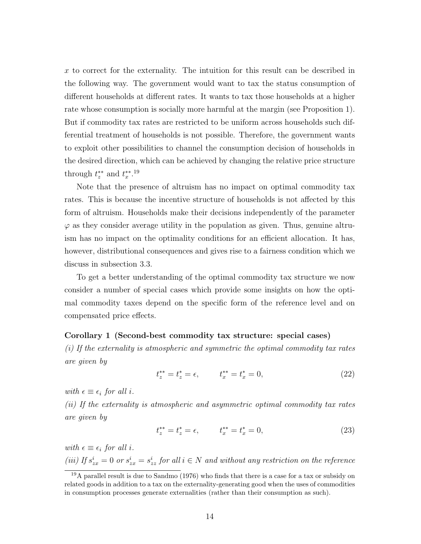x to correct for the externality. The intuition for this result can be described in the following way. The government would want to tax the status consumption of different households at different rates. It wants to tax those households at a higher rate whose consumption is socially more harmful at the margin (see Proposition 1). But if commodity tax rates are restricted to be uniform across households such differential treatment of households is not possible. Therefore, the government wants to exploit other possibilities to channel the consumption decision of households in the desired direction, which can be achieved by changing the relative price structure through  $t_z^{**}$ <sup>\*\*</sup> and  $t_x^{**}$  $x^{*19}$ 

Note that the presence of altruism has no impact on optimal commodity tax rates. This is because the incentive structure of households is not affected by this form of altruism. Households make their decisions independently of the parameter  $\varphi$  as they consider average utility in the population as given. Thus, genuine altruism has no impact on the optimality conditions for an efficient allocation. It has, however, distributional consequences and gives rise to a fairness condition which we discuss in subsection 3.3.

To get a better understanding of the optimal commodity tax structure we now consider a number of special cases which provide some insights on how the optimal commodity taxes depend on the specific form of the reference level and on compensated price effects.

#### Corollary 1 (Second-best commodity tax structure: special cases)

(i) If the externality is atmospheric and symmetric the optimal commodity tax rates are given by

$$
t_z^{**} = t_z^* = \epsilon, \qquad t_x^{**} = t_x^* = 0,
$$
\n<sup>(22)</sup>

with  $\epsilon \equiv \epsilon_i$  for all i.

(ii) If the externality is atmospheric and asymmetric optimal commodity tax rates are given by

$$
t_z^{**} = t_z^* = \epsilon, \qquad t_x^{**} = t_x^* = 0,
$$
\n(23)

with  $\epsilon \equiv \epsilon_i$  for all i. (iii) If  $s_{zx}^i = 0$  or  $s_{zx}^i = s_{zz}^i$  for all  $i \in N$  and without any restriction on the reference

<sup>&</sup>lt;sup>19</sup>A parallel result is due to Sandmo (1976) who finds that there is a case for a tax or subsidy on related goods in addition to a tax on the externality-generating good when the uses of commodities in consumption processes generate externalities (rather than their consumption as such).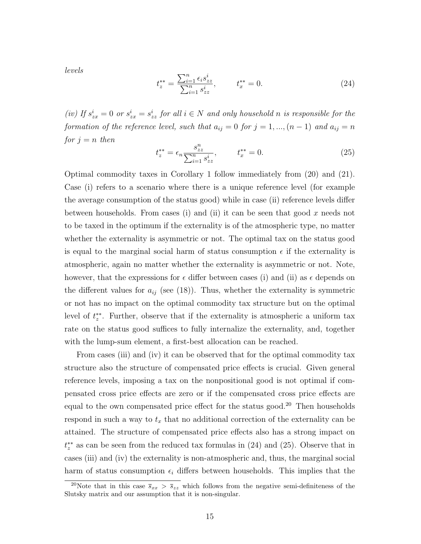levels

$$
t_z^{**} = \frac{\sum_{i=1}^n \epsilon_i s_{zz}^i}{\sum_{i=1}^n s_{zz}^i}, \qquad t_x^{**} = 0.
$$
 (24)

(iv) If  $s_{zx}^i = 0$  or  $s_{zx}^i = s_{zz}^i$  for all  $i \in N$  and only household n is responsible for the formation of the reference level, such that  $a_{ij} = 0$  for  $j = 1, ..., (n - 1)$  and  $a_{ij} = n$ for  $j = n$  then

$$
t_z^{**} = \epsilon_n \frac{s_{zz}^n}{\sum_{i=1}^n s_{zz}^i}, \qquad t_x^{**} = 0.
$$
 (25)

Optimal commodity taxes in Corollary 1 follow immediately from (20) and (21). Case (i) refers to a scenario where there is a unique reference level (for example the average consumption of the status good) while in case (ii) reference levels differ between households. From cases (i) and (ii) it can be seen that good x needs not to be taxed in the optimum if the externality is of the atmospheric type, no matter whether the externality is asymmetric or not. The optimal tax on the status good is equal to the marginal social harm of status consumption  $\epsilon$  if the externality is atmospheric, again no matter whether the externality is asymmetric or not. Note, however, that the expressions for  $\epsilon$  differ between cases (i) and (ii) as  $\epsilon$  depends on the different values for  $a_{ij}$  (see (18)). Thus, whether the externality is symmetric or not has no impact on the optimal commodity tax structure but on the optimal level of  $t_z^{**}$ \*\*. Further, observe that if the externality is atmospheric a uniform tax rate on the status good suffices to fully internalize the externality, and, together with the lump-sum element, a first-best allocation can be reached.

From cases (iii) and (iv) it can be observed that for the optimal commodity tax structure also the structure of compensated price effects is crucial. Given general reference levels, imposing a tax on the nonpositional good is not optimal if compensated cross price effects are zero or if the compensated cross price effects are equal to the own compensated price effect for the status good.<sup>20</sup> Then households respond in such a way to  $t_x$  that no additional correction of the externality can be attained. The structure of compensated price effects also has a strong impact on  $t_z^{**}$  $z^*$  as can be seen from the reduced tax formulas in (24) and (25). Observe that in cases (iii) and (iv) the externality is non-atmospheric and, thus, the marginal social harm of status consumption  $\epsilon_i$  differs between households. This implies that the

<sup>&</sup>lt;sup>20</sup>Note that in this case  $\bar{s}_{xx} > \bar{s}_{zz}$  which follows from the negative semi-definiteness of the Slutsky matrix and our assumption that it is non-singular.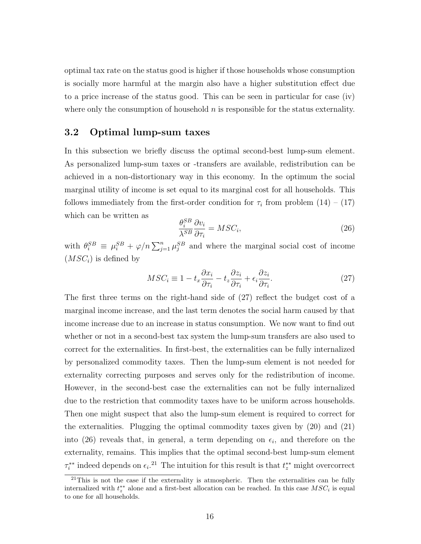optimal tax rate on the status good is higher if those households whose consumption is socially more harmful at the margin also have a higher substitution effect due to a price increase of the status good. This can be seen in particular for case (iv) where only the consumption of household  $n$  is responsible for the status externality.

### 3.2 Optimal lump-sum taxes

In this subsection we briefly discuss the optimal second-best lump-sum element. As personalized lump-sum taxes or -transfers are available, redistribution can be achieved in a non-distortionary way in this economy. In the optimum the social marginal utility of income is set equal to its marginal cost for all households. This follows immediately from the first-order condition for  $\tau_i$  from problem  $(14) - (17)$ which can be written as

$$
\frac{\theta_i^{SB}}{\lambda^{SB}} \frac{\partial v_i}{\partial \tau_i} = MSC_i,\tag{26}
$$

with  $\theta_i^{SB} \equiv \mu_i^{SB} + \varphi/n \sum_{j=1}^n \mu_j^{SB}$  and where the marginal social cost of income  $(MSC_i)$  is defined by

$$
MSC_i \equiv 1 - t_x \frac{\partial x_i}{\partial \tau_i} - t_z \frac{\partial z_i}{\partial \tau_i} + \epsilon_i \frac{\partial z_i}{\partial \tau_i}.
$$
 (27)

The first three terms on the right-hand side of (27) reflect the budget cost of a marginal income increase, and the last term denotes the social harm caused by that income increase due to an increase in status consumption. We now want to find out whether or not in a second-best tax system the lump-sum transfers are also used to correct for the externalities. In first-best, the externalities can be fully internalized by personalized commodity taxes. Then the lump-sum element is not needed for externality correcting purposes and serves only for the redistribution of income. However, in the second-best case the externalities can not be fully internalized due to the restriction that commodity taxes have to be uniform across households. Then one might suspect that also the lump-sum element is required to correct for the externalities. Plugging the optimal commodity taxes given by (20) and (21) into (26) reveals that, in general, a term depending on  $\epsilon_i$ , and therefore on the externality, remains. This implies that the optimal second-best lump-sum element  $\tau_i^{**}$ <sup>\*\*</sup> indeed depends on  $\epsilon_i$ .<sup>21</sup> The intuition for this result is that  $t_z^{**}$  might overcorrect

 $21$ This is not the case if the externality is atmospheric. Then the externalities can be fully internalized with  $t_z^{**}$  alone and a first-best allocation can be reached. In this case  $MSC_i$  is equal to one for all households.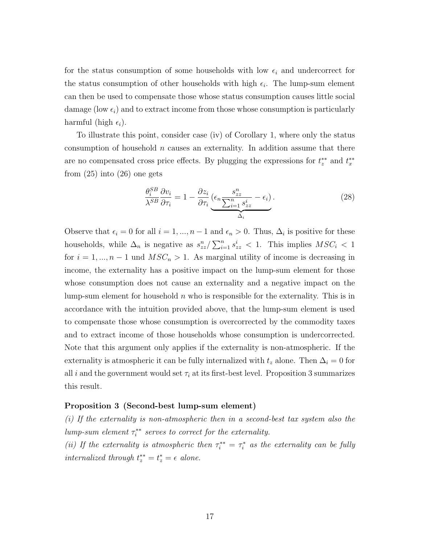for the status consumption of some households with low  $\epsilon_i$  and undercorrect for the status consumption of other households with high  $\epsilon_i$ . The lump-sum element can then be used to compensate those whose status consumption causes little social damage (low  $\epsilon_i$ ) and to extract income from those whose consumption is particularly harmful (high  $\epsilon_i$ ).

To illustrate this point, consider case (iv) of Corollary 1, where only the status consumption of household n causes an externality. In addition assume that there are no compensated cross price effects. By plugging the expressions for  $t^{**}_{z}$ <sup>\*\*</sup> and  $t_x^{**}$ x from (25) into (26) one gets

$$
\frac{\theta_i^{SB}}{\lambda^{SB}} \frac{\partial v_i}{\partial \tau_i} = 1 - \frac{\partial z_i}{\partial \tau_i} \underbrace{(\epsilon_n \frac{s_{zz}^n}{\sum_{i=1}^n s_{zz}^i} - \epsilon_i)}_{\Delta_i}.
$$
\n(28)

Observe that  $\epsilon_i = 0$  for all  $i = 1, ..., n-1$  and  $\epsilon_n > 0$ . Thus,  $\Delta_i$  is positive for these households, while  $\Delta_n$  is negative as  $s_{zz}^n / \sum_{i=1}^n s_{zz}^i < 1$ . This implies  $MSC_i < 1$ for  $i = 1, ..., n - 1$  und  $MSC_n > 1$ . As marginal utility of income is decreasing in income, the externality has a positive impact on the lump-sum element for those whose consumption does not cause an externality and a negative impact on the lump-sum element for household  $n$  who is responsible for the externality. This is in accordance with the intuition provided above, that the lump-sum element is used to compensate those whose consumption is overcorrected by the commodity taxes and to extract income of those households whose consumption is undercorrected. Note that this argument only applies if the externality is non-atmospheric. If the externality is atmospheric it can be fully internalized with  $t_z$  alone. Then  $\Delta_i = 0$  for all i and the government would set  $\tau_i$  at its first-best level. Proposition 3 summarizes this result.

#### Proposition 3 (Second-best lump-sum element)

(i) If the externality is non-atmospheric then in a second-best tax system also the lump-sum element  $\tau_i^{**}$  $i^*$  serves to correct for the externality.

(ii) If the externality is atmospheric then  $\tau_i^{**} = \tau_i^*$  as the externality can be fully internalized through  $t_z^* = t_z^* = \epsilon$  alone.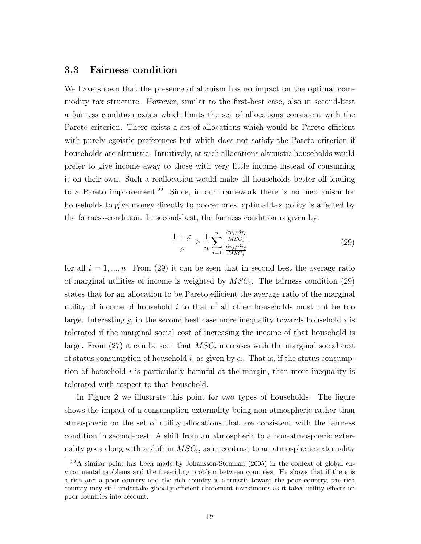### 3.3 Fairness condition

We have shown that the presence of altruism has no impact on the optimal commodity tax structure. However, similar to the first-best case, also in second-best a fairness condition exists which limits the set of allocations consistent with the Pareto criterion. There exists a set of allocations which would be Pareto efficient with purely egoistic preferences but which does not satisfy the Pareto criterion if households are altruistic. Intuitively, at such allocations altruistic households would prefer to give income away to those with very little income instead of consuming it on their own. Such a reallocation would make all households better off leading to a Pareto improvement.<sup>22</sup> Since, in our framework there is no mechanism for households to give money directly to poorer ones, optimal tax policy is affected by the fairness-condition. In second-best, the fairness condition is given by:

$$
\frac{1+\varphi}{\varphi} \ge \frac{1}{n} \sum_{j=1}^{n} \frac{\frac{\partial v_i/\partial \tau_i}{MSC_i}}{\frac{\partial v_j/\partial \tau_j}{MSC_j}}
$$
(29)

for all  $i = 1, ..., n$ . From (29) it can be seen that in second best the average ratio of marginal utilities of income is weighted by  $MSC_i$ . The fairness condition (29) states that for an allocation to be Pareto efficient the average ratio of the marginal utility of income of household  $i$  to that of all other households must not be too large. Interestingly, in the second best case more inequality towards household  $i$  is tolerated if the marginal social cost of increasing the income of that household is large. From  $(27)$  it can be seen that  $MSC_i$  increases with the marginal social cost of status consumption of household i, as given by  $\epsilon_i$ . That is, if the status consumption of household  $i$  is particularly harmful at the margin, then more inequality is tolerated with respect to that household.

In Figure 2 we illustrate this point for two types of households. The figure shows the impact of a consumption externality being non-atmospheric rather than atmospheric on the set of utility allocations that are consistent with the fairness condition in second-best. A shift from an atmospheric to a non-atmospheric externality goes along with a shift in  $MSC_i$ , as in contrast to an atmospheric externality

 $22A$  similar point has been made by Johansson-Stenman (2005) in the context of global environmental problems and the free-riding problem between countries. He shows that if there is a rich and a poor country and the rich country is altruistic toward the poor country, the rich country may still undertake globally efficient abatement investments as it takes utility effects on poor countries into account.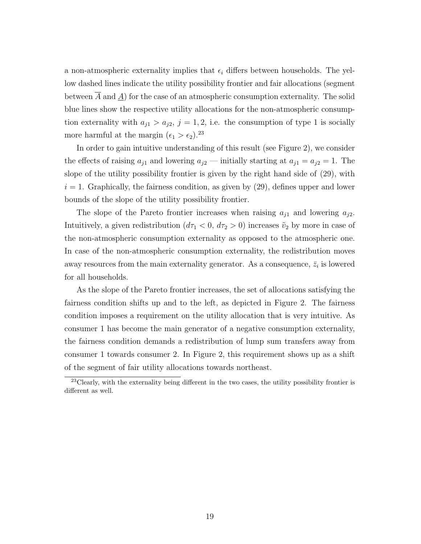a non-atmospheric externality implies that  $\epsilon_i$  differs between households. The yellow dashed lines indicate the utility possibility frontier and fair allocations (segment between  $\overline{A}$  and A) for the case of an atmospheric consumption externality. The solid blue lines show the respective utility allocations for the non-atmospheric consumption externality with  $a_{j1} > a_{j2}$ ,  $j = 1, 2$ , i.e. the consumption of type 1 is socially more harmful at the margin  $(\epsilon_1 > \epsilon_2)^{23}$ 

In order to gain intuitive understanding of this result (see Figure 2), we consider the effects of raising  $a_{j1}$  and lowering  $a_{j2}$  — initially starting at  $a_{j1} = a_{j2} = 1$ . The slope of the utility possibility frontier is given by the right hand side of (29), with  $i = 1$ . Graphically, the fairness condition, as given by  $(29)$ , defines upper and lower bounds of the slope of the utility possibility frontier.

The slope of the Pareto frontier increases when raising  $a_{i1}$  and lowering  $a_{i2}$ . Intuitively, a given redistribution  $(d\tau_1 < 0, d\tau_2 > 0)$  increases  $\tilde{v}_2$  by more in case of the non-atmospheric consumption externality as opposed to the atmospheric one. In case of the non-atmospheric consumption externality, the redistribution moves away resources from the main externality generator. As a consequence,  $\bar{z}_i$  is lowered for all households.

As the slope of the Pareto frontier increases, the set of allocations satisfying the fairness condition shifts up and to the left, as depicted in Figure 2. The fairness condition imposes a requirement on the utility allocation that is very intuitive. As consumer 1 has become the main generator of a negative consumption externality, the fairness condition demands a redistribution of lump sum transfers away from consumer 1 towards consumer 2. In Figure 2, this requirement shows up as a shift of the segment of fair utility allocations towards northeast.

 $^{23}$ Clearly, with the externality being different in the two cases, the utility possibility frontier is different as well.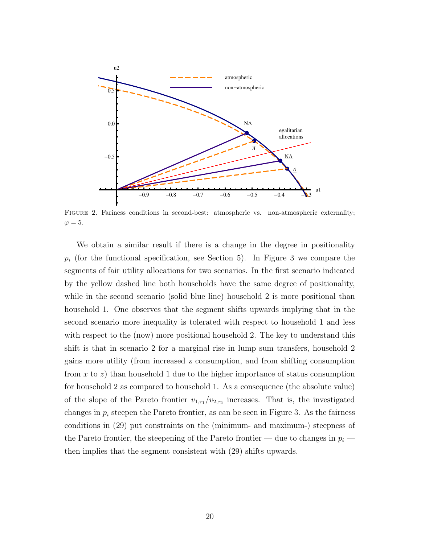

FIGURE 2. Fariness conditions in second-best: atmospheric vs. non-atmospheric externality;  $\varphi=5.$ 

We obtain a similar result if there is a change in the degree in positionality  $p_i$  (for the functional specification, see Section 5). In Figure 3 we compare the segments of fair utility allocations for two scenarios. In the first scenario indicated by the yellow dashed line both households have the same degree of positionality, while in the second scenario (solid blue line) household 2 is more positional than household 1. One observes that the segment shifts upwards implying that in the second scenario more inequality is tolerated with respect to household 1 and less with respect to the (now) more positional household 2. The key to understand this shift is that in scenario 2 for a marginal rise in lump sum transfers, household 2 gains more utility (from increased z consumption, and from shifting consumption from x to z) than household 1 due to the higher importance of status consumption for household 2 as compared to household 1. As a consequence (the absolute value) of the slope of the Pareto frontier  $v_{1,\tau_1}/v_{2,\tau_2}$  increases. That is, the investigated changes in  $p_i$  steepen the Pareto frontier, as can be seen in Figure 3. As the fairness conditions in (29) put constraints on the (minimum- and maximum-) steepness of the Pareto frontier, the steepening of the Pareto frontier — due to changes in  $p_i$  then implies that the segment consistent with (29) shifts upwards.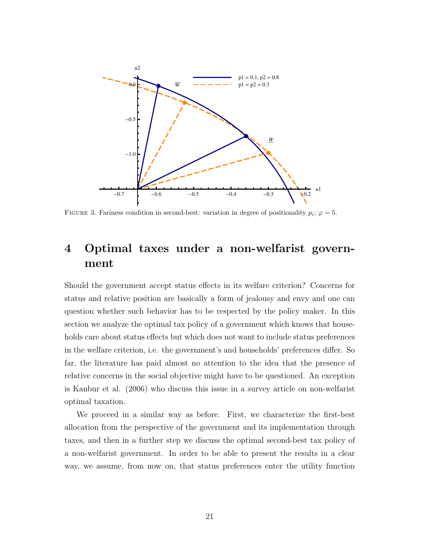

FIGURE 3. Fariness condition in second-best: variation in degree of positionality  $p_i$ ;  $\varphi = 5$ .

# 4 Optimal taxes under a non-welfarist government

Should the government accept status effects in its welfare criterion? Concerns for status and relative position are basically a form of jealousy and envy and one can question whether such behavior has to be respected by the policy maker. In this section we analyze the optimal tax policy of a government which knows that households care about status effects but which does not want to include status preferences in the welfare criterion, i.e. the government's and households' preferences differ. So far, the literature has paid almost no attention to the idea that the presence of relative concerns in the social objective might have to be questioned. An exception is Kanbur et al. (2006) who discuss this issue in a survey article on non-welfarist optimal taxation.

We proceed in a similar way as before. First, we characterize the first-best allocation from the perspective of the government and its implementation through taxes, and then in a further step we discuss the optimal second-best tax policy of a non-welfarist government. In order to be able to present the results in a clear way, we assume, from now on, that status preferences enter the utility function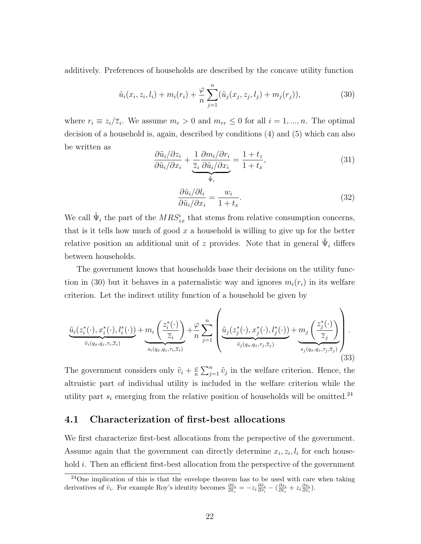additively. Preferences of households are described by the concave utility function

$$
\tilde{u}_i(x_i, z_i, l_i) + m_i(r_i) + \frac{\varphi}{n} \sum_{j=1}^n (\tilde{u}_j(x_j, z_j, l_j) + m_j(r_j)),
$$
\n(30)

where  $r_i \equiv z_i/\overline{z}_i$ . We assume  $m_r > 0$  and  $m_{rr} \leq 0$  for all  $i = 1, ..., n$ . The optimal decision of a household is, again, described by conditions (4) and (5) which can also be written as

$$
\frac{\partial \tilde{u}_i/\partial z_i}{\partial \tilde{u}_i/\partial x_i} + \frac{1}{\underbrace{\overline{z}_i}{\partial \tilde{u}_i/\partial x_i}} = \frac{1+t_z}{1+t_x},\tag{31}
$$

$$
\frac{\partial \tilde{u}_i/\partial l_i}{\partial \tilde{u}_i/\partial x_i} = \frac{w_i}{1+t_x}.\tag{32}
$$

We call  $\tilde{\Psi}_i$  the part of the  $MRS_{zx}^i$  that stems from relative consumption concerns, that is it tells how much of good  $x$  a household is willing to give up for the better relative position an additional unit of z provides. Note that in general  $\tilde{\Psi}_i$  differs between households.

The government knows that households base their decisions on the utility function in (30) but it behaves in a paternalistic way and ignores  $m_i(r_i)$  in its welfare criterion. Let the indirect utility function of a household be given by

$$
\underbrace{\tilde{u}_{i}(z_{i}^{*}(\cdot),x_{i}^{*}(\cdot),l_{i}^{*}(\cdot))}_{\tilde{v}_{i}(q_{x},q_{z},\tau_{i},\overline{z}_{i})} + \underbrace{m_{i}\left(\frac{z_{i}^{*}(\cdot)}{\overline{z}_{i}}\right)}_{s_{i}(q_{x},q_{z},\tau_{i},\overline{z}_{i})} + \underbrace{\varphi}_{n}\sum_{j=1}^{n}\left(\underbrace{\tilde{u}_{j}(z_{j}^{*}(\cdot),x_{j}^{*}(\cdot),l_{j}^{*}(\cdot))}_{\tilde{v}_{j}(q_{x},q_{z},\tau_{j},\overline{z}_{j})} + \underbrace{m_{j}\left(\frac{z_{j}^{*}(\cdot)}{\overline{z}_{j}}\right)}_{s_{j}(q_{x},q_{z},\tau_{j},\overline{z}_{j})}\right).
$$
\n(33)

The government considers only  $\tilde{v}_i + \frac{\varphi}{n}$  $\frac{\varphi}{n} \sum_{j=1}^{n} \tilde{v}_j$  in the welfare criterion. Hence, the altruistic part of individual utility is included in the welfare criterion while the utility part  $s_i$  emerging from the relative position of households will be omitted.<sup>24</sup>

### 4.1 Characterization of first-best allocations

We first characterize first-best allocations from the perspective of the government. Assume again that the government can directly determine  $x_i, z_i, l_i$  for each household *i*. Then an efficient first-best allocation from the perspective of the government

<sup>&</sup>lt;sup>24</sup>One implication of this is that the envelope theorem has to be used with care when taking derivatives of  $\tilde{v}_i$ . For example Roy's identity becomes  $\frac{\partial \tilde{v}_i}{\partial t_z} = -z_i \frac{\partial \tilde{v}_i}{\partial \tau_i} - (\frac{\partial s_i}{\partial t_z} + z_i \frac{\partial s_i}{\partial \tau_i}).$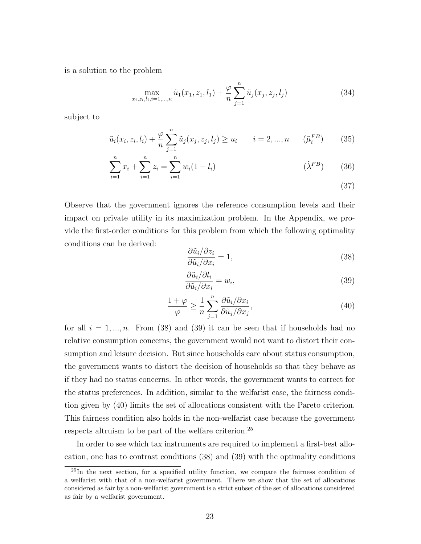is a solution to the problem

$$
\max_{x_i, z_i, l_i, i=1,\dots,n} \tilde{u}_1(x_1, z_1, l_1) + \frac{\varphi}{n} \sum_{j=1}^n \tilde{u}_j(x_j, z_j, l_j)
$$
(34)

subject to

$$
\tilde{u}_i(x_i, z_i, l_i) + \frac{\varphi}{n} \sum_{j=1}^n \tilde{u}_j(x_j, z_j, l_j) \ge \overline{u}_i \qquad i = 2, ..., n \qquad (\tilde{\mu}_i^{FB}) \tag{35}
$$

$$
\sum_{i=1}^{n} x_i + \sum_{i=1}^{n} z_i = \sum_{i=1}^{n} w_i (1 - l_i)
$$
 (36)

(37)

Observe that the government ignores the reference consumption levels and their impact on private utility in its maximization problem. In the Appendix, we provide the first-order conditions for this problem from which the following optimality conditions can be derived:

$$
\frac{\partial \tilde{u}_i/\partial z_i}{\partial \tilde{u}_i/\partial x_i} = 1,\tag{38}
$$

$$
\frac{\partial \tilde{u}_i/\partial l_i}{\partial \tilde{u}_i/\partial x_i} = w_i,\tag{39}
$$

$$
\frac{1+\varphi}{\varphi} \ge \frac{1}{n} \sum_{j=1}^{n} \frac{\partial \tilde{u}_i / \partial x_i}{\partial \tilde{u}_j / \partial x_j},\tag{40}
$$

for all  $i = 1, ..., n$ . From (38) and (39) it can be seen that if households had no relative consumption concerns, the government would not want to distort their consumption and leisure decision. But since households care about status consumption, the government wants to distort the decision of households so that they behave as if they had no status concerns. In other words, the government wants to correct for the status preferences. In addition, similar to the welfarist case, the fairness condition given by (40) limits the set of allocations consistent with the Pareto criterion. This fairness condition also holds in the non-welfarist case because the government respects altruism to be part of the welfare criterion.<sup>25</sup>

In order to see which tax instruments are required to implement a first-best allocation, one has to contrast conditions (38) and (39) with the optimality conditions

 $^{25}$ In the next section, for a specified utility function, we compare the fairness condition of a welfarist with that of a non-welfarist government. There we show that the set of allocations considered as fair by a non-welfarist government is a strict subset of the set of allocations considered as fair by a welfarist government.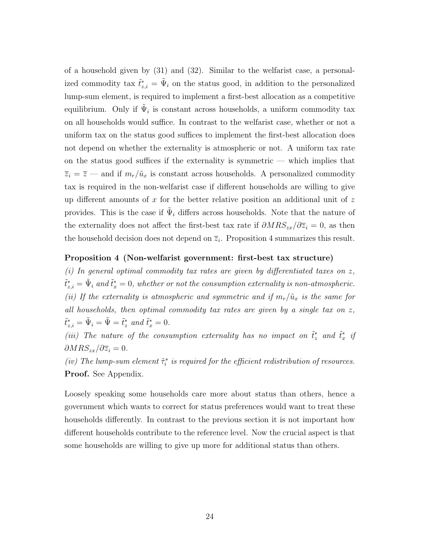of a household given by (31) and (32). Similar to the welfarist case, a personalized commodity tax  $\tilde{t}^*_{z,i} = \tilde{\Psi}_i$  on the status good, in addition to the personalized lump-sum element, is required to implement a first-best allocation as a competitive equilibrium. Only if  $\tilde{\Psi}_i$  is constant across households, a uniform commodity tax on all households would suffice. In contrast to the welfarist case, whether or not a uniform tax on the status good suffices to implement the first-best allocation does not depend on whether the externality is atmospheric or not. A uniform tax rate on the status good suffices if the externality is symmetric — which implies that  $\overline{z}_i = \overline{z}$  — and if  $m_r/\tilde{u}_x$  is constant across households. A personalized commodity tax is required in the non-welfarist case if different households are willing to give up different amounts of  $x$  for the better relative position an additional unit of  $z$ provides. This is the case if  $\tilde{\Psi}_i$  differs across households. Note that the nature of the externality does not affect the first-best tax rate if  $\partial MRS_{zx}/\partial \overline{z}_i = 0$ , as then the household decision does not depend on  $\overline{z}_i$ . Proposition 4 summarizes this result.

#### Proposition 4 (Non-welfarist government: first-best tax structure)

(i) In general optimal commodity tax rates are given by differentiated taxes on  $z$ ,  $\tilde{t}_{z,i}^* = \tilde{\Psi}_i$  and  $\tilde{t}_x^* = 0$ , whether or not the consumption externality is non-atmospheric. (ii) If the externality is atmospheric and symmetric and if  $m_r/\tilde{u}_x$  is the same for all households, then optimal commodity tax rates are given by a single tax on z,  $\tilde{t}_{z,i}^* = \tilde{\Psi}_i = \tilde{\Psi}_z^*$  and  $\tilde{t}_x^* = 0$ .

(iii) The nature of the consumption externality has no impact on  $\tilde{t}_z^*$  and  $\tilde{t}_x^*$  if  $\partial MRS_{zx}/\partial \overline{z}_i = 0.$ 

(iv) The lump-sum element  $\tilde{\tau}_i^*$  $i_i^*$  is required for the efficient redistribution of resources. Proof. See Appendix.

Loosely speaking some households care more about status than others, hence a government which wants to correct for status preferences would want to treat these households differently. In contrast to the previous section it is not important how different households contribute to the reference level. Now the crucial aspect is that some households are willing to give up more for additional status than others.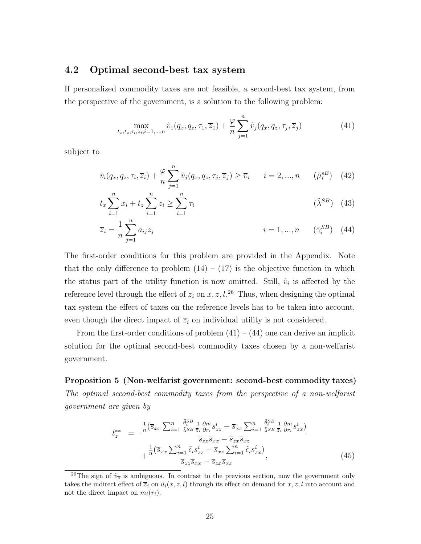### 4.2 Optimal second-best tax system

If personalized commodity taxes are not feasible, a second-best tax system, from the perspective of the government, is a solution to the following problem:

$$
\max_{t_x, t_z, \tau_i, \overline{z}_i, i=1,\dots,n} \tilde{v}_1(q_x, q_z, \tau_1, \overline{z}_1) + \frac{\varphi}{n} \sum_{j=1}^n \tilde{v}_j(q_x, q_z, \tau_j, \overline{z}_j)
$$
(41)

subject to

$$
\tilde{v}_i(q_x, q_z, \tau_i, \overline{z}_i) + \frac{\varphi}{n} \sum_{j=1}^n \tilde{v}_j(q_x, q_z, \tau_j, \overline{z}_j) \ge \overline{v}_i \qquad i = 2, ..., n \qquad (\tilde{\mu}_i^{s}) \tag{42}
$$

$$
t_x \sum_{i=1}^{n} x_i + t_z \sum_{i=1}^{n} z_i \ge \sum_{i=1}^{n} \tau_i
$$
 (33)

$$
\overline{z}_{i} = \frac{1}{n} \sum_{j=1}^{n} a_{ij} z_{j} \qquad i = 1, ..., n \qquad (\tilde{\gamma}_{i}^{SB}) \quad (44)
$$

The first-order conditions for this problem are provided in the Appendix. Note that the only difference to problem  $(14) - (17)$  is the objective function in which the status part of the utility function is now omitted. Still,  $\tilde{v}_i$  is affected by the reference level through the effect of  $\overline{z}_i$  on  $x, z, l$ .<sup>26</sup> Thus, when designing the optimal tax system the effect of taxes on the reference levels has to be taken into account, even though the direct impact of  $\overline{z}_i$  on individual utility is not considered.

From the first-order conditions of problem  $(41) - (44)$  one can derive an implicit solution for the optimal second-best commodity taxes chosen by a non-welfarist government.

Proposition 5 (Non-welfarist government: second-best commodity taxes) The optimal second-best commodity taxes from the perspective of a non-welfarist government are given by

$$
\tilde{t}^{**}_{z} = \frac{\frac{1}{n} \left( \overline{s}_{xx} \sum_{i=1}^{n} \frac{\tilde{\theta}^{SB}_{i}}{\tilde{\lambda}^{SB} \overline{z}_{i}} \frac{1}{\partial r_{i}} s_{zz}^{i} - \overline{s}_{xz} \sum_{i=1}^{n} \frac{\tilde{\theta}^{SB}_{i}}{\tilde{\lambda}^{SB} \overline{z}_{i}} \frac{1}{\partial r_{i}} s_{zx}^{i} \right)}{\overline{s}_{zz} \overline{s}_{xx} - \overline{s}_{zx} \overline{s}_{xz}} + \frac{\frac{1}{n} \left( \overline{s}_{xx} \sum_{i=1}^{n} \tilde{\epsilon}_{i} s_{zz}^{i} - \overline{s}_{xz} \sum_{i=1}^{n} \tilde{\epsilon}_{i} s_{zx}^{i} \right)}{\overline{s}_{zz} \overline{s}_{xx} - \overline{s}_{zx} \overline{s}_{xz}}, \tag{45}
$$

<sup>&</sup>lt;sup>26</sup>The sign of  $\tilde{v}_{\overline{z}}$  is ambiguous. In contrast to the previous section, now the government only takes the indirect effect of  $\overline{z}_i$  on  $\tilde{u}_i(x, z, l)$  through its effect on demand for  $x, z, l$  into account and not the direct impact on  $m_i(r_i)$ .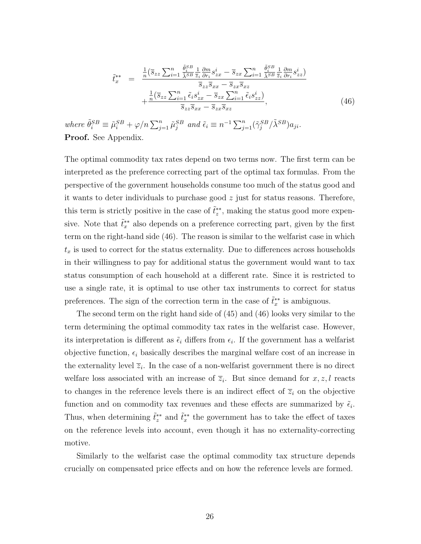$$
\tilde{t}_x^{**} = \frac{\frac{1}{n} (\overline{s}_{zz} \sum_{i=1}^n \frac{\tilde{\theta}_s^{SB}}{\tilde{\lambda}^{SB} \overline{z}_i} \frac{1}{\partial r_i} s_{zx}^i - \overline{s}_{zx} \sum_{i=1}^n \frac{\tilde{\theta}_s^{SB}}{\tilde{\lambda}^{SB} \overline{z}_i} \frac{1}{\partial r_i} s_{zz}^i)}{\overline{s}_{zz} \overline{s}_{xx} - \overline{s}_{zx} \overline{s}_{xz}} + \frac{\frac{1}{n} (\overline{s}_{zz} \sum_{i=1}^n \tilde{\epsilon}_i s_{zx}^i - \overline{s}_{zx} \sum_{i=1}^n \tilde{\epsilon}_i s_{zz}^i)}{\overline{s}_{zz} \overline{s}_{xx} - \overline{s}_{zx} \overline{s}_{xz}},
$$
\n(46)

where  $\tilde{\theta}_i^{SB} \equiv \tilde{\mu}_i^{SB} + \varphi/n \sum_{j=1}^n \tilde{\mu}_j^{SB}$  and  $\tilde{\epsilon}_i \equiv n^{-1} \sum_{j=1}^n (\tilde{\gamma}_j^{SB}/\tilde{\lambda}^{SB}) a_{ji}$ . Proof. See Appendix.

The optimal commodity tax rates depend on two terms now. The first term can be interpreted as the preference correcting part of the optimal tax formulas. From the perspective of the government households consume too much of the status good and it wants to deter individuals to purchase good z just for status reasons. Therefore, this term is strictly positive in the case of  $\tilde{t}^{**}_{z}$ , making the status good more expensive. Note that  $\tilde{t}^*$ <sup>∗</sup> also depends on a preference correcting part, given by the first term on the right-hand side (46). The reason is similar to the welfarist case in which  $t_x$  is used to correct for the status externality. Due to differences across households in their willingness to pay for additional status the government would want to tax status consumption of each household at a different rate. Since it is restricted to use a single rate, it is optimal to use other tax instruments to correct for status preferences. The sign of the correction term in the case of  $\tilde{t}^{**}_x$  is ambiguous.

The second term on the right hand side of (45) and (46) looks very similar to the term determining the optimal commodity tax rates in the welfarist case. However, its interpretation is different as  $\tilde{\epsilon}_i$  differs from  $\epsilon_i$ . If the government has a welfarist objective function,  $\epsilon_i$  basically describes the marginal welfare cost of an increase in the externality level  $\overline{z}_i$ . In the case of a non-welfarist government there is no direct welfare loss associated with an increase of  $\overline{z}_i$ . But since demand for  $x, z, l$  reacts to changes in the reference levels there is an indirect effect of  $\overline{z}_i$  on the objective function and on commodity tax revenues and these effects are summarized by  $\tilde{\epsilon}_i$ . Thus, when determining  $\tilde{t}^{**}_z$  and  $\tilde{t}^{**}_x$  the government has to take the effect of taxes on the reference levels into account, even though it has no externality-correcting motive.

Similarly to the welfarist case the optimal commodity tax structure depends crucially on compensated price effects and on how the reference levels are formed.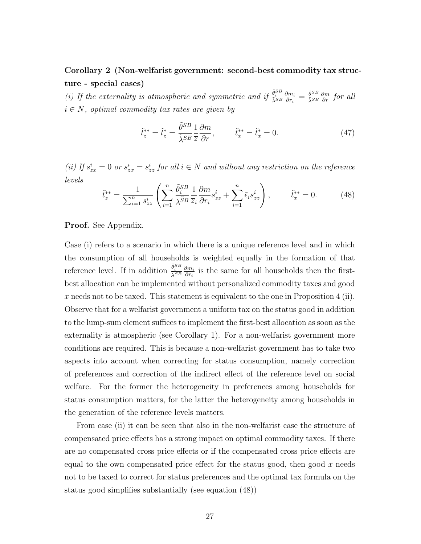### Corollary 2 (Non-welfarist government: second-best commodity tax structure - special cases)

(i) If the externality is atmospheric and symmetric and if  $\frac{\tilde{\theta}_i^{SB}}{\tilde{\lambda}^{SB}} \frac{\partial m_i}{\partial r_i}$  $\frac{\partial m_i}{\partial r_i} = \frac{\tilde{\theta}^{SB}}{\tilde{\lambda}^{SB}}$  $\frac{\theta^{SB}}{\tilde{\lambda}^{SB}}\frac{\partial m}{\partial r}$  for all  $i \in N$ , optimal commodity tax rates are given by

$$
\tilde{t}_z^{**} = \tilde{t}_z^* = \frac{\tilde{\theta}^{SB}}{\tilde{\lambda}^{SB}} \frac{1}{z} \frac{\partial m}{\partial r}, \qquad \tilde{t}_x^{**} = \tilde{t}_x^* = 0. \tag{47}
$$

(ii) If  $s_{zx}^i = 0$  or  $s_{zx}^i = s_{zz}^i$  for all  $i \in N$  and without any restriction on the reference levels

$$
\tilde{t}_z^{**} = \frac{1}{\sum_{i=1}^n s_{zz}^i} \left( \sum_{i=1}^n \frac{\tilde{\theta}_i^{SB}}{\lambda^{SB}} \frac{1}{\overline{z}_i} \frac{\partial m}{\partial r_i} s_{zz}^i + \sum_{i=1}^n \tilde{\epsilon}_i s_{zz}^i \right), \qquad \tilde{t}_x^{**} = 0. \tag{48}
$$

#### Proof. See Appendix.

Case (i) refers to a scenario in which there is a unique reference level and in which the consumption of all households is weighted equally in the formation of that reference level. If in addition  $\frac{\tilde{\theta}_i^{SB}}{\tilde{\lambda}^{SB}} \frac{\partial m_i}{\partial r_i}$  $\frac{\partial m_i}{\partial r_i}$  is the same for all households then the firstbest allocation can be implemented without personalized commodity taxes and good  $x$  needs not to be taxed. This statement is equivalent to the one in Proposition 4 (ii). Observe that for a welfarist government a uniform tax on the status good in addition to the lump-sum element suffices to implement the first-best allocation as soon as the externality is atmospheric (see Corollary 1). For a non-welfarist government more conditions are required. This is because a non-welfarist government has to take two aspects into account when correcting for status consumption, namely correction of preferences and correction of the indirect effect of the reference level on social welfare. For the former the heterogeneity in preferences among households for status consumption matters, for the latter the heterogeneity among households in the generation of the reference levels matters.

From case (ii) it can be seen that also in the non-welfarist case the structure of compensated price effects has a strong impact on optimal commodity taxes. If there are no compensated cross price effects or if the compensated cross price effects are equal to the own compensated price effect for the status good, then good  $x$  needs not to be taxed to correct for status preferences and the optimal tax formula on the status good simplifies substantially (see equation (48))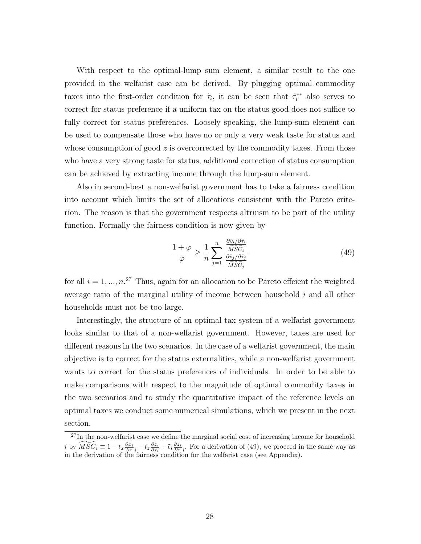With respect to the optimal-lump sum element, a similar result to the one provided in the welfarist case can be derived. By plugging optimal commodity taxes into the first-order condition for  $\tilde{\tau}_i$ , it can be seen that  $\tilde{\tau}_i^{**}$  $i^*$  also serves to correct for status preference if a uniform tax on the status good does not suffice to fully correct for status preferences. Loosely speaking, the lump-sum element can be used to compensate those who have no or only a very weak taste for status and whose consumption of good  $z$  is overcorrected by the commodity taxes. From those who have a very strong taste for status, additional correction of status consumption can be achieved by extracting income through the lump-sum element.

Also in second-best a non-welfarist government has to take a fairness condition into account which limits the set of allocations consistent with the Pareto criterion. The reason is that the government respects altruism to be part of the utility function. Formally the fairness condition is now given by

$$
\frac{1+\varphi}{\varphi} \ge \frac{1}{n} \sum_{j=1}^{n} \frac{\frac{\partial \tilde{v}_i/\partial \tilde{\tau}_i}{\widetilde{MSC_i}}}{\frac{\partial \tilde{v}_j/\partial \tilde{\tau}_j}{\widetilde{MSC_j}}} \tag{49}
$$

for all  $i = 1, ..., n$ <sup>27</sup> Thus, again for an allocation to be Pareto effcient the weighted average ratio of the marginal utility of income between household i and all other households must not be too large.

Interestingly, the structure of an optimal tax system of a welfarist government looks similar to that of a non-welfarist government. However, taxes are used for different reasons in the two scenarios. In the case of a welfarist government, the main objective is to correct for the status externalities, while a non-welfarist government wants to correct for the status preferences of individuals. In order to be able to make comparisons with respect to the magnitude of optimal commodity taxes in the two scenarios and to study the quantitative impact of the reference levels on optimal taxes we conduct some numerical simulations, which we present in the next section.

 $27$ In the non-welfarist case we define the marginal social cost of increasing income for household i by  $\widetilde{MSC}_i \equiv 1 - t_x \frac{\partial x_i}{\partial \tau_i} - t_z \frac{\partial z_i}{\partial \tau_i} + \tilde{\epsilon}_i \frac{\partial z_i}{\partial \tau_i}$ . For a derivation of (49), we proceed in the same way as in the derivation of the fairness condition for the welfarist case (see Appendix).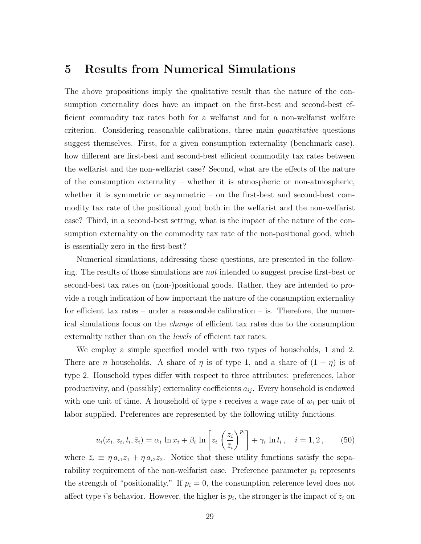## 5 Results from Numerical Simulations

The above propositions imply the qualitative result that the nature of the consumption externality does have an impact on the first-best and second-best efficient commodity tax rates both for a welfarist and for a non-welfarist welfare criterion. Considering reasonable calibrations, three main *quantitative* questions suggest themselves. First, for a given consumption externality (benchmark case), how different are first-best and second-best efficient commodity tax rates between the welfarist and the non-welfarist case? Second, what are the effects of the nature of the consumption externality – whether it is atmospheric or non-atmospheric, whether it is symmetric or asymmetric – on the first-best and second-best commodity tax rate of the positional good both in the welfarist and the non-welfarist case? Third, in a second-best setting, what is the impact of the nature of the consumption externality on the commodity tax rate of the non-positional good, which is essentially zero in the first-best?

Numerical simulations, addressing these questions, are presented in the following. The results of those simulations are *not* intended to suggest precise first-best or second-best tax rates on (non-)positional goods. Rather, they are intended to provide a rough indication of how important the nature of the consumption externality for efficient tax rates – under a reasonable calibration – is. Therefore, the numerical simulations focus on the change of efficient tax rates due to the consumption externality rather than on the *levels* of efficient tax rates.

We employ a simple specified model with two types of households, 1 and 2. There are *n* households. A share of  $\eta$  is of type 1, and a share of  $(1 - \eta)$  is of type 2. Household types differ with respect to three attributes: preferences, labor productivity, and (possibly) externality coefficients  $a_{ij}$ . Every household is endowed with one unit of time. A household of type i receives a wage rate of  $w_i$  per unit of labor supplied. Preferences are represented by the following utility functions.

$$
u_i(x_i, z_i, l_i, \bar{z}_i) = \alpha_i \ln x_i + \beta_i \ln \left[ z_i \left( \frac{z_i}{\bar{z}_i} \right)^{p_i} \right] + \gamma_i \ln l_i, \quad i = 1, 2, \tag{50}
$$

where  $\bar{z}_i \equiv \eta a_{i1} z_1 + \eta a_{i2} z_2$ . Notice that these utility functions satisfy the separability requirement of the non-welfarist case. Preference parameter  $p_i$  represents the strength of "positionality." If  $p_i = 0$ , the consumption reference level does not affect type *i*'s behavior. However, the higher is  $p_i$ , the stronger is the impact of  $\bar{z}_i$  on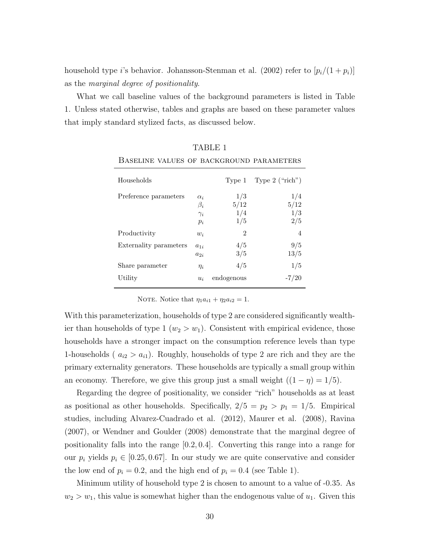household type *i*'s behavior. Johansson-Stenman et al. (2002) refer to  $\left[p_i/(1 + p_i)\right]$ as the marginal degree of positionality.

What we call baseline values of the background parameters is listed in Table 1. Unless stated otherwise, tables and graphs are based on these parameter values that imply standard stylized facts, as discussed below.

| Households             |                                                | Type 1                    | Type $2$ ("rich")         |
|------------------------|------------------------------------------------|---------------------------|---------------------------|
| Preference parameters  | $\alpha_i$<br>$\beta_i$<br>$\gamma_i$<br>$p_i$ | 1/3<br>5/12<br>1/4<br>1/5 | 1/4<br>5/12<br>1/3<br>2/5 |
| Productivity           | $w_i$                                          | $\overline{2}$            | $\overline{4}$            |
| Externality parameters | $a_{1i}$<br>$a_{2i}$                           | 4/5<br>3/5                | 9/5<br>13/5               |
| Share parameter        | $\eta_i$                                       | 4/5                       | 1/5                       |
| Utility                | $u_i$                                          | endogenous                | $-7/20$                   |

### TABLE 1 Baseline values of background parameters

NOTE. Notice that  $\eta_1 a_{i1} + \eta_2 a_{i2} = 1$ .

With this parameterization, households of type 2 are considered significantly wealthier than households of type  $1 (w_2 > w_1)$ . Consistent with empirical evidence, those households have a stronger impact on the consumption reference levels than type 1-households ( $a_{i2} > a_{i1}$ ). Roughly, households of type 2 are rich and they are the primary externality generators. These households are typically a small group within an economy. Therefore, we give this group just a small weight  $((1 - \eta) = 1/5)$ .

Regarding the degree of positionality, we consider "rich" households as at least as positional as other households. Specifically,  $2/5 = p_2 > p_1 = 1/5$ . Empirical studies, including Alvarez-Cuadrado et al. (2012), Maurer et al. (2008), Ravina (2007), or Wendner and Goulder (2008) demonstrate that the marginal degree of positionality falls into the range [0.2, 0.4]. Converting this range into a range for our  $p_i$  yields  $p_i \in [0.25, 0.67]$ . In our study we are quite conservative and consider the low end of  $p_i = 0.2$ , and the high end of  $p_i = 0.4$  (see Table 1).

Minimum utility of household type 2 is chosen to amount to a value of -0.35. As  $w_2 > w_1$ , this value is somewhat higher than the endogenous value of  $u_1$ . Given this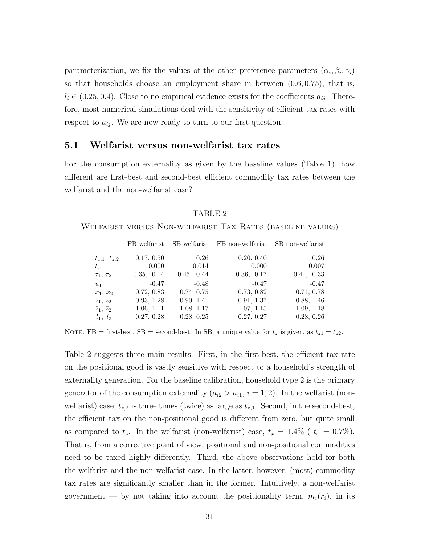parameterization, we fix the values of the other preference parameters  $(\alpha_i, \beta_i, \gamma_i)$ so that households choose an employment share in between  $(0.6, 0.75)$ , that is,  $l_i \in (0.25, 0.4)$ . Close to no empirical evidence exists for the coefficients  $a_{ij}$ . Therefore, most numerical simulations deal with the sensitivity of efficient tax rates with respect to  $a_{ij}$ . We are now ready to turn to our first question.

### 5.1 Welfarist versus non-welfarist tax rates

For the consumption externality as given by the baseline values (Table 1), how different are first-best and second-best efficient commodity tax rates between the welfarist and the non-welfarist case?

|                                                            | TABLE 2 |  |  |
|------------------------------------------------------------|---------|--|--|
| WELFARIST VERSUS NON-WELFARIST TAX RATES (BASELINE VALUES) |         |  |  |

|                                                    | FB welfarist                           |                                        | SB welfarist FB non-welfarist          | SB non-welfarist                       |
|----------------------------------------------------|----------------------------------------|----------------------------------------|----------------------------------------|----------------------------------------|
| $t_{z,1}, t_{z,2}$<br>$t_x$                        | 0.17, 0.50<br>0.000<br>$0.35, -0.14$   | 0.26<br>0.014<br>$0.45, -0.44$         | 0.20, 0.40<br>0.000<br>$0.36, -0.17$   | 0.26<br>0.007<br>$0.41, -0.33$         |
| $\tau_1$ , $\tau_2$<br>$u_1$<br>$x_1, x_2$         | $-0.47$<br>0.72, 0.83                  | $-0.48$<br>0.74, 0.75                  | $-0.47$<br>0.73, 0.82                  | $-0.47$<br>0.74, 0.78                  |
| $z_1, z_2$<br>$\bar{z}_1, \bar{z}_2$<br>$l_1, l_2$ | 0.93, 1.28<br>1.06, 1.11<br>0.27, 0.28 | 0.90, 1.41<br>1.08, 1.17<br>0.28, 0.25 | 0.91, 1.37<br>1.07, 1.15<br>0.27, 0.27 | 0.88, 1.46<br>1.09, 1.18<br>0.28, 0.26 |

NOTE. FB = first-best, SB = second-best. In SB, a unique value for  $t_z$  is given, as  $t_{z1} = t_{z2}$ .

Table 2 suggests three main results. First, in the first-best, the efficient tax rate on the positional good is vastly sensitive with respect to a household's strength of externality generation. For the baseline calibration, household type 2 is the primary generator of the consumption externality  $(a_{i2} > a_{i1}, i = 1, 2)$ . In the welfarist (nonwelfarist) case,  $t_{z,2}$  is three times (twice) as large as  $t_{z,1}$ . Second, in the second-best, the efficient tax on the non-positional good is different from zero, but quite small as compared to  $t_z$ . In the welfarist (non-welfarist) case,  $t_x = 1.4\%$  ( $t_x = 0.7\%$ ). That is, from a corrective point of view, positional and non-positional commodities need to be taxed highly differently. Third, the above observations hold for both the welfarist and the non-welfarist case. In the latter, however, (most) commodity tax rates are significantly smaller than in the former. Intuitively, a non-welfarist government — by not taking into account the positionality term,  $m_i(r_i)$ , in its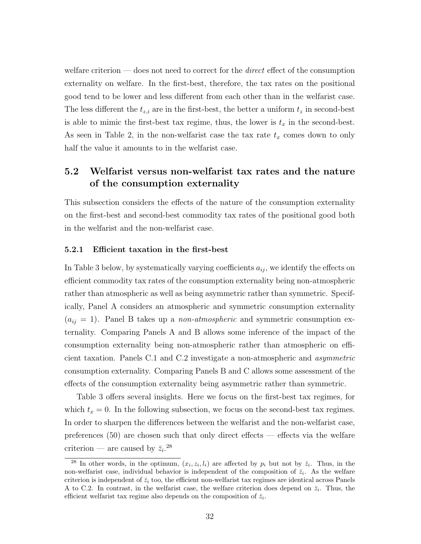welfare criterion — does not need to correct for the *direct* effect of the consumption externality on welfare. In the first-best, therefore, the tax rates on the positional good tend to be lower and less different from each other than in the welfarist case. The less different the  $t_{z,i}$  are in the first-best, the better a uniform  $t_z$  in second-best is able to mimic the first-best tax regime, thus, the lower is  $t_x$  in the second-best. As seen in Table 2, in the non-welfarist case the tax rate  $t_x$  comes down to only half the value it amounts to in the welfarist case.

## 5.2 Welfarist versus non-welfarist tax rates and the nature of the consumption externality

This subsection considers the effects of the nature of the consumption externality on the first-best and second-best commodity tax rates of the positional good both in the welfarist and the non-welfarist case.

#### 5.2.1 Efficient taxation in the first-best

In Table 3 below, by systematically varying coefficients  $a_{ij}$ , we identify the effects on efficient commodity tax rates of the consumption externality being non-atmospheric rather than atmospheric as well as being asymmetric rather than symmetric. Specifically, Panel A considers an atmospheric and symmetric consumption externality  $(a_{ij} = 1)$ . Panel B takes up a *non-atmospheric* and symmetric consumption externality. Comparing Panels A and B allows some inference of the impact of the consumption externality being non-atmospheric rather than atmospheric on efficient taxation. Panels C.1 and C.2 investigate a non-atmospheric and asymmetric consumption externality. Comparing Panels B and C allows some assessment of the effects of the consumption externality being asymmetric rather than symmetric.

Table 3 offers several insights. Here we focus on the first-best tax regimes, for which  $t_x = 0$ . In the following subsection, we focus on the second-best tax regimes. In order to sharpen the differences between the welfarist and the non-welfarist case, preferences  $(50)$  are chosen such that only direct effects — effects via the welfare criterion — are caused by  $\bar{z}_i$ <sup>28</sup>

<sup>&</sup>lt;sup>28</sup> In other words, in the optimum,  $(x_i, z_i, l_i)$  are affected by  $p_i$  but not by  $\bar{z}_i$ . Thus, in the non-welfarist case, individual behavior is independent of the composition of  $\bar{z}_i$ . As the welfare criterion is independent of  $\bar{z}_i$  too, the efficient non-welfarist tax regimes are identical across Panels A to C.2. In contrast, in the welfarist case, the welfare criterion does depend on  $\bar{z}_i$ . Thus, the efficient welfarist tax regime also depends on the composition of  $\bar{z}_i$ .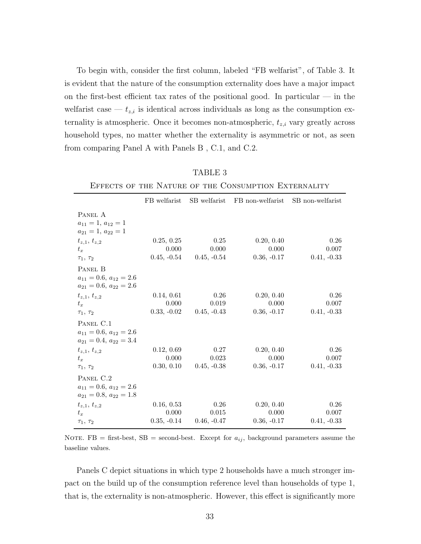To begin with, consider the first column, labeled "FB welfarist", of Table 3. It is evident that the nature of the consumption externality does have a major impact on the first-best efficient tax rates of the positional good. In particular  $-$  in the welfarist case —  $t_{z,i}$  is identical across individuals as long as the consumption externality is atmospheric. Once it becomes non-atmospheric,  $t_{z,i}$  vary greatly across household types, no matter whether the externality is asymmetric or not, as seen from comparing Panel A with Panels B , C.1, and C.2.

|                                                                           |               |               | EFFECTS OF THE NATURE OF THE CONSUMPTION EXTERNALITY |                  |
|---------------------------------------------------------------------------|---------------|---------------|------------------------------------------------------|------------------|
|                                                                           | FB welfarist  | SB welfarist  | FB non-welfarist                                     | SB non-welfarist |
| PANEL A<br>$a_{11} = 1, a_{12} = 1$<br>$a_{21}=1, a_{22}=1$               |               |               |                                                      |                  |
| $t_{z,1}, t_{z,2}$                                                        | 0.25, 0.25    | 0.25          | 0.20, 0.40                                           | 0.26             |
| $t_x$                                                                     | 0.000         | 0.000         | 0.000                                                | 0.007            |
| $\tau_1, \tau_2$                                                          | $0.45, -0.54$ | $0.45, -0.54$ | $0.36, -0.17$                                        | $0.41, -0.33$    |
| PANEL B<br>$a_{11} = 0.6, a_{12} = 2.6$<br>$a_{21} = 0.6, a_{22} = 2.6$   |               |               |                                                      |                  |
| $t_{z,1}, t_{z,2}$                                                        | 0.14, 0.61    | 0.26          | 0.20, 0.40                                           | 0.26             |
| $t_x$                                                                     | 0.000         | 0.019         | 0.000                                                | 0.007            |
| $\tau_1, \tau_2$                                                          | $0.33, -0.02$ | $0.45, -0.43$ | $0.36, -0.17$                                        | $0.41, -0.33$    |
| PANEL C.1<br>$a_{11} = 0.6, a_{12} = 2.6$<br>$a_{21} = 0.4, a_{22} = 3.4$ |               |               |                                                      |                  |
| $t_{z,1}, t_{z,2}$                                                        | 0.12, 0.69    | 0.27          | 0.20, 0.40                                           | 0.26             |
| $t_x$                                                                     | 0.000         | 0.023         | 0.000                                                | 0.007            |
| $\tau_1, \tau_2$                                                          | 0.30, 0.10    | $0.45, -0.38$ | $0.36, -0.17$                                        | $0.41, -0.33$    |
| PANEL C.2<br>$a_{11} = 0.6, a_{12} = 2.6$<br>$a_{21} = 0.8, a_{22} = 1.8$ |               |               |                                                      |                  |
| $t_{z,1}, t_{z,2}$                                                        | 0.16, 0.53    | 0.26          | 0.20, 0.40                                           | 0.26             |
| $t_x$                                                                     | 0.000         | 0.015         | 0.000                                                | 0.007            |
| $\tau_1, \tau_2$                                                          | $0.35, -0.14$ | $0.46, -0.47$ | $0.36, -0.17$                                        | $0.41, -0.33$    |

TABLE 3

NOTE. FB = first-best, SB = second-best. Except for  $a_{ij}$ , background parameters assume the baseline values.

| Panels C depict situations in which type 2 households have a much stronger im-          |
|-----------------------------------------------------------------------------------------|
| pact on the build up of the consumption reference level than households of type 1,      |
| that is, the externality is non-atmospheric. However, this effect is significantly more |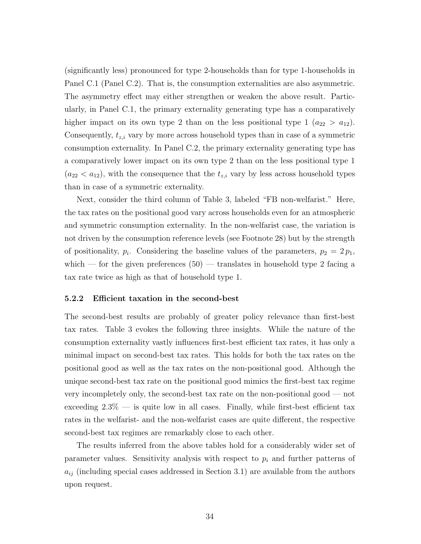(significantly less) pronounced for type 2-households than for type 1-households in Panel C.1 (Panel C.2). That is, the consumption externalities are also asymmetric. The asymmetry effect may either strengthen or weaken the above result. Particularly, in Panel C.1, the primary externality generating type has a comparatively higher impact on its own type 2 than on the less positional type 1  $(a_{22} > a_{12})$ . Consequently,  $t_{z,i}$  vary by more across household types than in case of a symmetric consumption externality. In Panel C.2, the primary externality generating type has a comparatively lower impact on its own type 2 than on the less positional type 1  $(a_{22} < a_{12})$ , with the consequence that the  $t_{z,i}$  vary by less across household types than in case of a symmetric externality.

Next, consider the third column of Table 3, labeled "FB non-welfarist." Here, the tax rates on the positional good vary across households even for an atmospheric and symmetric consumption externality. In the non-welfarist case, the variation is not driven by the consumption reference levels (see Footnote 28) but by the strength of positionality,  $p_i$ . Considering the baseline values of the parameters,  $p_2 = 2p_1$ , which — for the given preferences  $(50)$  — translates in household type 2 facing a tax rate twice as high as that of household type 1.

### 5.2.2 Efficient taxation in the second-best

The second-best results are probably of greater policy relevance than first-best tax rates. Table 3 evokes the following three insights. While the nature of the consumption externality vastly influences first-best efficient tax rates, it has only a minimal impact on second-best tax rates. This holds for both the tax rates on the positional good as well as the tax rates on the non-positional good. Although the unique second-best tax rate on the positional good mimics the first-best tax regime very incompletely only, the second-best tax rate on the non-positional good — not exceeding  $2.3\%$  — is quite low in all cases. Finally, while first-best efficient tax rates in the welfarist- and the non-welfarist cases are quite different, the respective second-best tax regimes are remarkably close to each other.

The results inferred from the above tables hold for a considerably wider set of parameter values. Sensitivity analysis with respect to  $p_i$  and further patterns of  $a_{ij}$  (including special cases addressed in Section 3.1) are available from the authors upon request.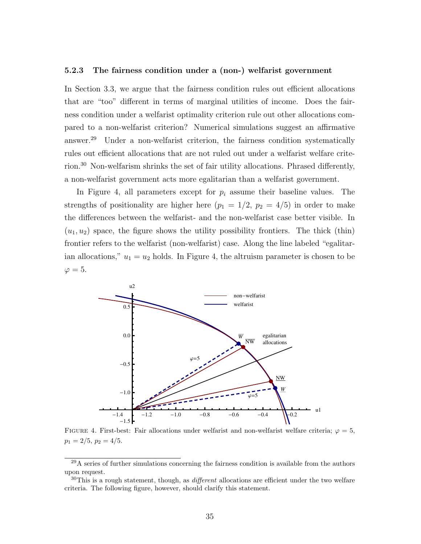#### 5.2.3 The fairness condition under a (non-) welfarist government

In Section 3.3, we argue that the fairness condition rules out efficient allocations that are "too" different in terms of marginal utilities of income. Does the fairness condition under a welfarist optimality criterion rule out other allocations compared to a non-welfarist criterion? Numerical simulations suggest an affirmative answer.<sup>29</sup> Under a non-welfarist criterion, the fairness condition systematically rules out efficient allocations that are not ruled out under a welfarist welfare criterion.<sup>30</sup> Non-welfarism shrinks the set of fair utility allocations. Phrased differently, a non-welfarist government acts more egalitarian than a welfarist government.

In Figure 4, all parameters except for  $p_i$  assume their baseline values. The strengths of positionality are higher here  $(p_1 = 1/2, p_2 = 4/5)$  in order to make the differences between the welfarist- and the non-welfarist case better visible. In  $(u_1, u_2)$  space, the figure shows the utility possibility frontiers. The thick (thin) frontier refers to the welfarist (non-welfarist) case. Along the line labeled "egalitarian allocations,"  $u_1 = u_2$  holds. In Figure 4, the altruism parameter is chosen to be  $\varphi=5.$ 



FIGURE 4. First-best: Fair allocations under welfarist and non-welfarist welfare criteria;  $\varphi = 5$ ,  $p_1 = 2/5, p_2 = 4/5.$ 

 $^{29}$ A series of further simulations concerning the fairness condition is available from the authors upon request.

 $30$ This is a rough statement, though, as *different* allocations are efficient under the two welfare criteria. The following figure, however, should clarify this statement.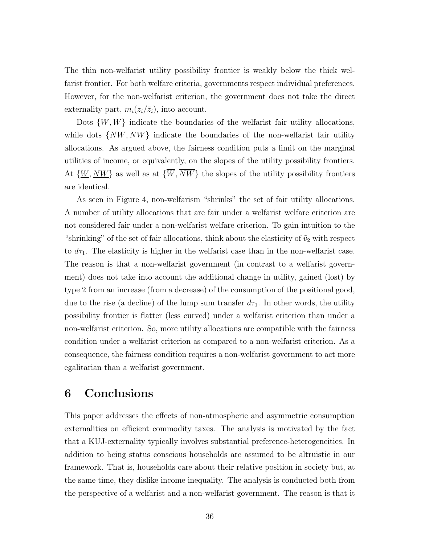The thin non-welfarist utility possibility frontier is weakly below the thick welfarist frontier. For both welfare criteria, governments respect individual preferences. However, for the non-welfarist criterion, the government does not take the direct externality part,  $m_i(z_i/\bar{z}_i)$ , into account.

Dots  $\{W,\overline{W}\}\$ indicate the boundaries of the welfarist fair utility allocations, while dots  $\{NW, \overline{NW}\}$  indicate the boundaries of the non-welfarist fair utility allocations. As argued above, the fairness condition puts a limit on the marginal utilities of income, or equivalently, on the slopes of the utility possibility frontiers. At  $\{W, NW\}$  as well as at  $\{\overline{W}, \overline{NW}\}$  the slopes of the utility possibility frontiers are identical.

As seen in Figure 4, non-welfarism "shrinks" the set of fair utility allocations. A number of utility allocations that are fair under a welfarist welfare criterion are not considered fair under a non-welfarist welfare criterion. To gain intuition to the "shrinking" of the set of fair allocations, think about the elasticity of  $\tilde{v}_2$  with respect to  $d\tau_1$ . The elasticity is higher in the welfarist case than in the non-welfarist case. The reason is that a non-welfarist government (in contrast to a welfarist government) does not take into account the additional change in utility, gained (lost) by type 2 from an increase (from a decrease) of the consumption of the positional good, due to the rise (a decline) of the lump sum transfer  $d\tau_1$ . In other words, the utility possibility frontier is flatter (less curved) under a welfarist criterion than under a non-welfarist criterion. So, more utility allocations are compatible with the fairness condition under a welfarist criterion as compared to a non-welfarist criterion. As a consequence, the fairness condition requires a non-welfarist government to act more egalitarian than a welfarist government.

# 6 Conclusions

This paper addresses the effects of non-atmospheric and asymmetric consumption externalities on efficient commodity taxes. The analysis is motivated by the fact that a KUJ-externality typically involves substantial preference-heterogeneities. In addition to being status conscious households are assumed to be altruistic in our framework. That is, households care about their relative position in society but, at the same time, they dislike income inequality. The analysis is conducted both from the perspective of a welfarist and a non-welfarist government. The reason is that it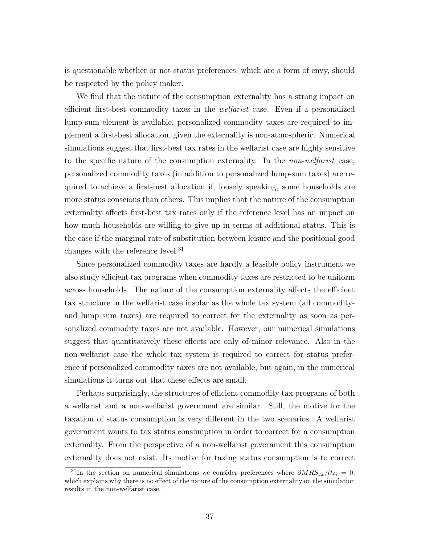is questionable whether or not status preferences, which are a form of envy, should be respected by the policy maker.

We find that the nature of the consumption externality has a strong impact on efficient first-best commodity taxes in the welfarist case. Even if a personalized lump-sum element is available, personalized commodity taxes are required to implement a first-best allocation, given the externality is non-atmospheric. Numerical simulations suggest that first-best tax rates in the welfarist case are highly sensitive to the specific nature of the consumption externality. In the non-welfarist case, personalized commodity taxes (in addition to personalized lump-sum taxes) are required to achieve a first-best allocation if, loosely speaking, some households are more status conscious than others. This implies that the nature of the consumption externality affects first-best tax rates only if the reference level has an impact on how much households are willing to give up in terms of additional status. This is the case if the marginal rate of substitution between leisure and the positional good changes with the reference level.<sup>31</sup>

Since personalized commodity taxes are hardly a feasible policy instrument we also study efficient tax programs when commodity taxes are restricted to be uniform across households. The nature of the consumption externality affects the efficient tax structure in the welfarist case insofar as the whole tax system (all commodityand lump sum taxes) are required to correct for the externality as soon as personalized commodity taxes are not available. However, our numerical simulations suggest that quantitatively these effects are only of minor relevance. Also in the non-welfarist case the whole tax system is required to correct for status preference if personalized commodity taxes are not available, but again, in the numerical simulations it turns out that these effects are small.

Perhaps surprisingly, the structures of efficient commodity tax programs of both a welfarist and a non-welfarist government are similar. Still, the motive for the taxation of status consumption is very different in the two scenarios. A welfarist government wants to tax status consumption in order to correct for a consumption externality. From the perspective of a non-welfarist government this consumption externality does not exist. Its motive for taxing status consumption is to correct

 $\overline{^{31}\text{In}}$  the section on numerical simulations we consider preferences where  $\partial MRS_{zx}/\partial \overline{z}_i = 0$ , which explains why there is no effect of the nature of the consumption externality on the simulation results in the non-welfarist case.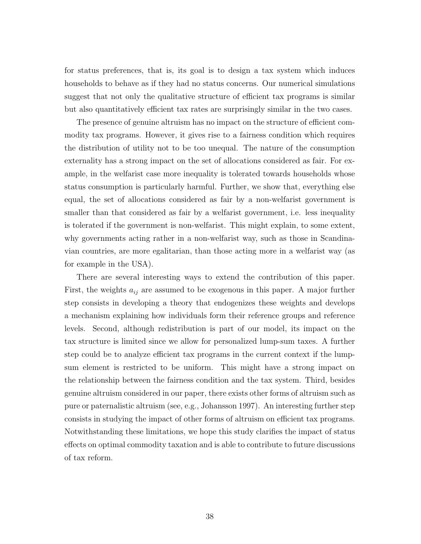for status preferences, that is, its goal is to design a tax system which induces households to behave as if they had no status concerns. Our numerical simulations suggest that not only the qualitative structure of efficient tax programs is similar but also quantitatively efficient tax rates are surprisingly similar in the two cases.

The presence of genuine altruism has no impact on the structure of efficient commodity tax programs. However, it gives rise to a fairness condition which requires the distribution of utility not to be too unequal. The nature of the consumption externality has a strong impact on the set of allocations considered as fair. For example, in the welfarist case more inequality is tolerated towards households whose status consumption is particularly harmful. Further, we show that, everything else equal, the set of allocations considered as fair by a non-welfarist government is smaller than that considered as fair by a welfarist government, i.e. less inequality is tolerated if the government is non-welfarist. This might explain, to some extent, why governments acting rather in a non-welfarist way, such as those in Scandinavian countries, are more egalitarian, than those acting more in a welfarist way (as for example in the USA).

There are several interesting ways to extend the contribution of this paper. First, the weights  $a_{ij}$  are assumed to be exogenous in this paper. A major further step consists in developing a theory that endogenizes these weights and develops a mechanism explaining how individuals form their reference groups and reference levels. Second, although redistribution is part of our model, its impact on the tax structure is limited since we allow for personalized lump-sum taxes. A further step could be to analyze efficient tax programs in the current context if the lumpsum element is restricted to be uniform. This might have a strong impact on the relationship between the fairness condition and the tax system. Third, besides genuine altruism considered in our paper, there exists other forms of altruism such as pure or paternalistic altruism (see, e.g., Johansson 1997). An interesting further step consists in studying the impact of other forms of altruism on efficient tax programs. Notwithstanding these limitations, we hope this study clarifies the impact of status effects on optimal commodity taxation and is able to contribute to future discussions of tax reform.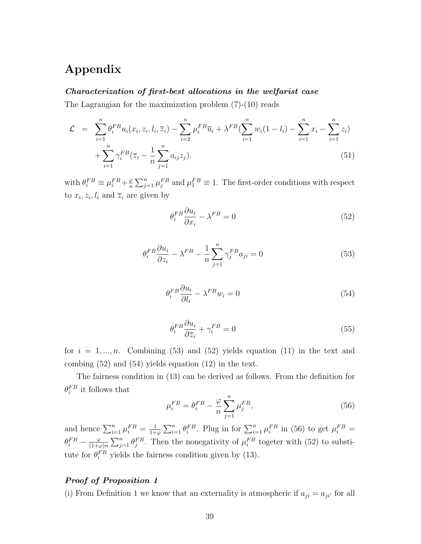# Appendix

#### Characterization of first-best allocations in the welfarist case

The Lagrangian for the maximization problem (7)-(10) reads

$$
\mathcal{L} = \sum_{i=1}^{n} \theta_i^{FB} u_i(x_i, z_i, l_i, \overline{z}_i) - \sum_{i=2}^{n} \mu_i^{FB} \overline{u}_i + \lambda^{FB} (\sum_{i=1}^{n} w_i (1 - l_i) - \sum_{i=1}^{n} x_i - \sum_{i=1}^{n} z_i)
$$
  
+ 
$$
\sum_{i=1}^{n} \gamma_i^{FB} (\overline{z}_i - \frac{1}{n} \sum_{j=1}^{n} a_{ij} z_j).
$$
 (51)

with  $\theta_i^{FB} \equiv \mu_i^{FB} + \frac{\varphi}{n}$  $\sum_{j=1}^{n} \mu_j^{FB}$  and  $\mu_1^{FB} \equiv 1$ . The first-order conditions with respect to  $x_i, z_i, l_i$  and  $\overline{z}_i$  are given by

$$
\theta_i^{FB} \frac{\partial u_i}{\partial x_i} - \lambda^{FB} = 0 \tag{52}
$$

$$
\theta_i^{FB} \frac{\partial u_i}{\partial z_i} - \lambda^{FB} - \frac{1}{n} \sum_{j=1}^n \gamma_j^{FB} a_{ji} = 0 \tag{53}
$$

$$
\theta_i^{FB} \frac{\partial u_i}{\partial l_i} - \lambda^{FB} w_i = 0 \tag{54}
$$

$$
\theta_i^{FB} \frac{\partial u_i}{\partial \overline{z}_i} + \gamma_i^{FB} = 0 \tag{55}
$$

for  $i = 1, ..., n$ . Combining (53) and (52) yields equation (11) in the text and combing (52) and (54) yields equation (12) in the text.

The fairness condition in (13) can be derived as follows. From the definition for  $\theta_i^{FB}$  it follows that

$$
\mu_i^{FB} = \theta_i^{FB} - \frac{\varphi}{n} \sum_{j=1}^n \mu_j^{FB},\tag{56}
$$

and hence  $\sum_{i=1}^{n} \mu_i^{FB} = \frac{1}{1+h}$  $\frac{1}{1+\varphi}\sum_{i=1}^n \theta_i^{FB}$ . Plug in for  $\sum_{i=1}^n \mu_i^{FB}$  in (56) to get  $\mu_i^{FB}$  =  $\theta_i^{FB} - \frac{\varphi}{(1+\varphi)}$  $\frac{\varphi}{(1+\varphi)n} \sum_{j=1}^n \theta_j^{FB}$ . Then the nonegativity of  $\mu_i^{FB}$  togeter with (52) to substitute for  $\theta_i^{FB}$  yields the fairness condition given by (13).

### Proof of Proposition 1

(i) From Definition 1 we know that an externality is atmospheric if  $a_{ji} = a_{ji'}$  for all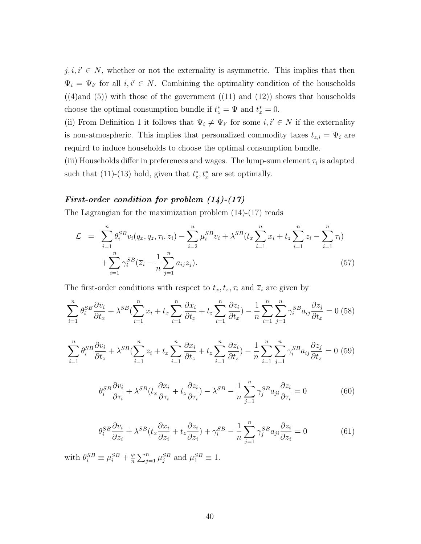$j, i, i' \in N$ , whether or not the externality is asymmetric. This implies that then  $\Psi_i = \Psi_{i'}$  for all  $i, i' \in N$ . Combining the optimality condition of the households  $((4)$ and  $(5)$ ) with those of the government  $((11)$  and  $(12)$ ) shows that households choose the optimal consumption bundle if  $t_z^* = \Psi$  and  $t_x^* = 0$ .

(ii) From Definition 1 it follows that  $\Psi_i \neq \Psi_{i'}$  for some  $i, i' \in N$  if the externality is non-atmospheric. This implies that personalized commodity taxes  $t_{z,i} = \Psi_i$  are requird to induce households to choose the optimal consumption bundle.

(iii) Households differ in preferences and wages. The lump-sum element  $\tau_i$  is adapted such that  $(11)-(13)$  hold, given that  $t_z^*$  $x^*$ ,  $t^*_x$  are set optimally.

### First-order condition for problem  $(14)-(17)$

The Lagrangian for the maximization problem (14)-(17) reads

$$
\mathcal{L} = \sum_{i=1}^{n} \theta_i^{SB} v_i(q_x, q_z, \tau_i, \overline{z}_i) - \sum_{i=2}^{n} \mu_i^{SB} \overline{v}_i + \lambda^{SB} (t_x \sum_{i=1}^{n} x_i + t_z \sum_{i=1}^{n} z_i - \sum_{i=1}^{n} \tau_i) + \sum_{i=1}^{n} \gamma_i^{SB} (\overline{z}_i - \frac{1}{n} \sum_{j=1}^{n} a_{ij} z_j).
$$
\n(57)

The first-order conditions with respect to  $t_x, t_z, \tau_i$  and  $\overline{z}_i$  are given by

$$
\sum_{i=1}^{n} \theta_i^{SB} \frac{\partial v_i}{\partial t_x} + \lambda^{SB} (\sum_{i=1}^{n} x_i + t_x \sum_{i=1}^{n} \frac{\partial x_i}{\partial t_x} + t_z \sum_{i=1}^{n} \frac{\partial z_i}{\partial t_x}) - \frac{1}{n} \sum_{i=1}^{n} \sum_{j=1}^{n} \gamma_i^{SB} a_{ij} \frac{\partial z_j}{\partial t_x} = 0 \tag{58}
$$

$$
\sum_{i=1}^{n} \theta_i^{SB} \frac{\partial v_i}{\partial t_z} + \lambda^{SB} (\sum_{i=1}^{n} z_i + t_x \sum_{i=1}^{n} \frac{\partial x_i}{\partial t_z} + t_z \sum_{i=1}^{n} \frac{\partial z_i}{\partial t_z}) - \frac{1}{n} \sum_{i=1}^{n} \sum_{j=1}^{n} \gamma_i^{SB} a_{ij} \frac{\partial z_j}{\partial t_z} = 0 \tag{59}
$$

$$
\theta_i^{SB} \frac{\partial v_i}{\partial \tau_i} + \lambda^{SB} (t_x \frac{\partial x_i}{\partial \tau_i} + t_z \frac{\partial z_i}{\partial \tau_i}) - \lambda^{SB} - \frac{1}{n} \sum_{j=1}^n \gamma_j^{SB} a_{ji} \frac{\partial z_i}{\partial \tau_i} = 0 \tag{60}
$$

$$
\theta_i^{SB} \frac{\partial v_i}{\partial \overline{z}_i} + \lambda^{SB} (t_x \frac{\partial x_i}{\partial \overline{z}_i} + t_z \frac{\partial z_i}{\partial \overline{z}_i}) + \gamma_i^{SB} - \frac{1}{n} \sum_{j=1}^n \gamma_j^{SB} a_{ji} \frac{\partial z_i}{\partial \overline{z}_i} = 0 \tag{61}
$$

with  $\theta_i^{SB} \equiv \mu_i^{SB} + \frac{\varphi}{n}$  $\frac{\varphi}{n} \sum_{j=1}^{n} \mu_j^{SB}$  and  $\mu_1^{SB} \equiv 1$ .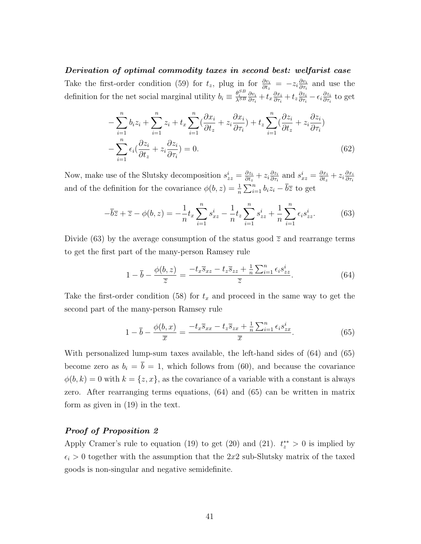#### Derivation of optimal commodity taxes in second best: welfarist case

Take the first-order condition (59) for  $t_z$ , plug in for  $\frac{\partial v_i}{\partial t_z} = -z_i \frac{\partial v_i}{\partial \tau_i}$  $\frac{\partial v_i}{\partial \tau_i}$  and use the definition for the net social marginal utility  $b_i \equiv \frac{\theta_i^{SB}}{\lambda^{SB}}$  $\partial v_i$  $\frac{\partial v_i}{\partial \tau_i}+t_x\frac{\partial x_i}{\partial \tau_i}$  $\frac{\partial x_i}{\partial \tau_i}+t_z\frac{\partial z_i}{\partial \tau_i}$  $\frac{\partial z_i}{\partial \tau_i} - \epsilon_i \frac{\partial z_i}{\partial \tau_i}$  $\frac{\partial z_i}{\partial \tau_i}$  to get

$$
-\sum_{i=1}^{n} b_i z_i + \sum_{i=1}^{n} z_i + t_x \sum_{i=1}^{n} \left(\frac{\partial x_i}{\partial t_z} + z_i \frac{\partial x_i}{\partial \tau_i}\right) + t_z \sum_{i=1}^{n} \left(\frac{\partial z_i}{\partial t_z} + z_i \frac{\partial z_i}{\partial \tau_i}\right)
$$

$$
-\sum_{i=1}^{n} \epsilon_i \left(\frac{\partial z_i}{\partial t_z} + z_i \frac{\partial z_i}{\partial \tau_i}\right) = 0.
$$
(62)

Now, make use of the Slutsky decomposition  $s_{zz}^i = \frac{\partial z_i}{\partial t_z}$  $\frac{\partial z_i}{\partial t_z}+z_i\frac{\partial z_i}{\partial \tau_i}$  $\frac{\partial z_i}{\partial \tau_i}$  and  $s_{xz}^i = \frac{\partial x_i}{\partial t_z}$  $\frac{\partial x_i}{\partial t_z} + z_i \frac{\partial x_i}{\partial \tau_i}$  $\partial \tau_i$ and of the definition for the covariance  $\phi(b, z) = \frac{1}{n} \sum_{i=1}^{n} b_i z_i - \overline{b} \overline{z}$  to get

$$
-\overline{b}\overline{z} + \overline{z} - \phi(b, z) = -\frac{1}{n} t_x \sum_{i=1}^n s_{xz}^i - \frac{1}{n} t_z \sum_{i=1}^n s_{zz}^i + \frac{1}{n} \sum_{i=1}^n \epsilon_i s_{zz}^i.
$$
 (63)

Divide (63) by the average consumption of the status good  $\overline{z}$  and rearrange terms to get the first part of the many-person Ramsey rule

$$
1 - \overline{b} - \frac{\phi(b, z)}{\overline{z}} = \frac{-t_x \overline{s}_{zz} - t_z \overline{s}_{zz} + \frac{1}{n} \sum_{i=1}^n \epsilon_i s_{zz}^i}{\overline{z}}.
$$
(64)

Take the first-order condition (58) for  $t_x$  and proceed in the same way to get the second part of the many-person Ramsey rule

$$
1 - \overline{b} - \frac{\phi(b, x)}{\overline{x}} = \frac{-t_x \overline{s}_{xx} - t_z \overline{s}_{zx} + \frac{1}{n} \sum_{i=1}^n \epsilon_i s_{zx}^i}{\overline{x}}.
$$
(65)

With personalized lump-sum taxes available, the left-hand sides of (64) and (65) become zero as  $b_i = \overline{b} = 1$ , which follows from (60), and because the covariance  $\phi(b, k) = 0$  with  $k = \{z, x\}$ , as the covariance of a variable with a constant is always zero. After rearranging terms equations, (64) and (65) can be written in matrix form as given in (19) in the text.

### Proof of Proposition 2

Apply Cramer's rule to equation (19) to get (20) and (21).  $t_*^{**} > 0$  is implied by  $\epsilon_i > 0$  together with the assumption that the 2x2 sub-Slutsky matrix of the taxed goods is non-singular and negative semidefinite.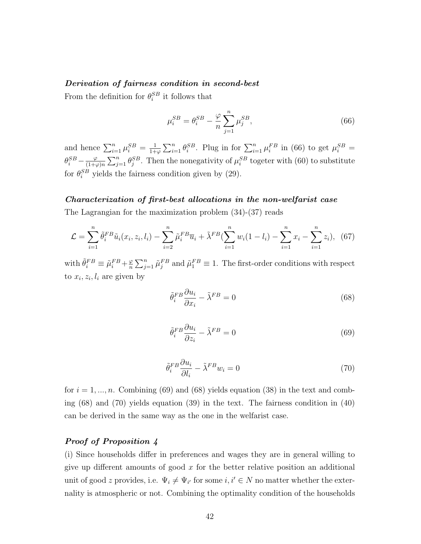#### Derivation of fairness condition in second-best

From the definition for  $\theta_i^{SB}$  it follows that

$$
\mu_i^{SB} = \theta_i^{SB} - \frac{\varphi}{n} \sum_{j=1}^n \mu_j^{SB},\tag{66}
$$

and hence  $\sum_{i=1}^n \mu_i^{SB} = \frac{1}{1+h}$  $\frac{1}{1+\varphi}\sum_{i=1}^n\theta_i^{SB}$ . Plug in for  $\sum_{i=1}^n\mu_i^{FB}$  in (66) to get  $\mu_i^{SB}$  =  $\theta_i^{SB} - \frac{\varphi}{(1+\varphi)}$  $\frac{\varphi}{(1+\varphi)n} \sum_{j=1}^n \theta_j^{SB}$ . Then the nonegativity of  $\mu_i^{SB}$  togeter with (60) to substitute for  $\theta_i^{SB}$  yields the fairness condition given by (29).

#### Characterization of first-best allocations in the non-welfarist case

The Lagrangian for the maximization problem (34)-(37) reads

$$
\mathcal{L} = \sum_{i=1}^{n} \tilde{\theta}_{i}^{FB} \tilde{u}_{i}(x_{i}, z_{i}, l_{i}) - \sum_{i=2}^{n} \tilde{\mu}_{i}^{FB} \overline{u}_{i} + \tilde{\lambda}^{FB} (\sum_{i=1}^{n} w_{i} (1 - l_{i}) - \sum_{i=1}^{n} x_{i} - \sum_{i=1}^{n} z_{i}), \tag{67}
$$

with  $\tilde{\theta}_i^{FB} \equiv \tilde{\mu}_i^{FB} + \frac{\varphi}{n}$  $\frac{\varphi}{n} \sum_{j=1}^n \tilde{\mu}_j^{FB}$  and  $\tilde{\mu}_1^{FB} \equiv 1$ . The first-order conditions with respect to  $x_i, z_i, l_i$  are given by

$$
\tilde{\theta}_i^{FB} \frac{\partial u_i}{\partial x_i} - \tilde{\lambda}^{FB} = 0 \tag{68}
$$

$$
\tilde{\theta}_i^{FB} \frac{\partial u_i}{\partial z_i} - \tilde{\lambda}^{FB} = 0 \tag{69}
$$

$$
\tilde{\theta}_i^{FB} \frac{\partial u_i}{\partial l_i} - \tilde{\lambda}^{FB} w_i = 0 \tag{70}
$$

for  $i = 1, ..., n$ . Combining (69) and (68) yields equation (38) in the text and combing (68) and (70) yields equation (39) in the text. The fairness condition in (40) can be derived in the same way as the one in the welfarist case.

### Proof of Proposition 4

(i) Since households differ in preferences and wages they are in general willing to give up different amounts of good  $x$  for the better relative position an additional unit of good z provides, i.e.  $\Psi_i \neq \Psi_{i'}$  for some  $i, i' \in N$  no matter whether the externality is atmospheric or not. Combining the optimality condition of the households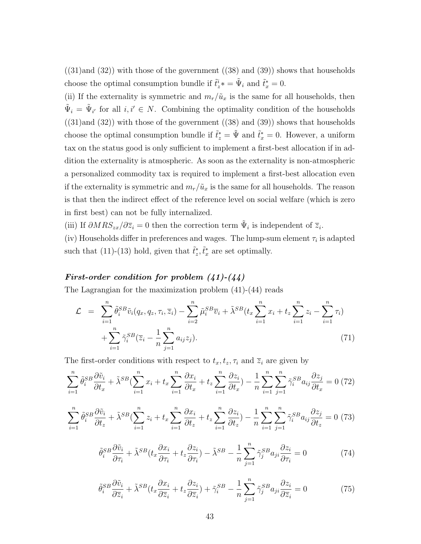$((31)$ and  $(32))$  with those of the government  $((38)$  and  $(39))$  shows that households choose the optimal consumption bundle if  $\tilde{t}^i_z * = \tilde{\Psi}_i$  and  $\tilde{t}^*_x = 0$ .

(ii) If the externality is symmetric and  $m_r/\tilde{u}_x$  is the same for all households, then  $\tilde{\Psi}_i = \tilde{\Psi}_{i'}$  for all  $i, i' \in N$ . Combining the optimality condition of the households  $((31)$ and  $(32))$  with those of the government  $((38)$  and  $(39))$  shows that households choose the optimal consumption bundle if  $\tilde{t}^*_z = \tilde{\Psi}$  and  $\tilde{t}^*_x = 0$ . However, a uniform tax on the status good is only sufficient to implement a first-best allocation if in addition the externality is atmospheric. As soon as the externality is non-atmospheric a personalized commodity tax is required to implement a first-best allocation even if the externality is symmetric and  $m_r/\tilde{u}_x$  is the same for all households. The reason is that then the indirect effect of the reference level on social welfare (which is zero in first best) can not be fully internalized.

(iii) If  $\partial MRS_{zx}/\partial \overline{z}_i = 0$  then the correction term  $\tilde{\Psi}_i$  is independent of  $\overline{z}_i$ .

(iv) Households differ in preferences and wages. The lump-sum element  $\tau_i$  is adapted such that (11)-(13) hold, given that  $\tilde{t}^*_z, \tilde{t}^*_x$  are set optimally.

### First-order condition for problem (41)-(44)

The Lagrangian for the maximization problem (41)-(44) reads

$$
\mathcal{L} = \sum_{i=1}^{n} \tilde{\theta}_{i}^{SB} \tilde{v}_{i}(q_{x}, q_{z}, \tau_{i}, \overline{z}_{i}) - \sum_{i=2}^{n} \tilde{\mu}_{i}^{SB} \overline{v}_{i} + \tilde{\lambda}^{SB}(t_{x} \sum_{i=1}^{n} x_{i} + t_{z} \sum_{i=1}^{n} z_{i} - \sum_{i=1}^{n} \tau_{i}) + \sum_{i=1}^{n} \tilde{\gamma}_{i}^{SB}(\overline{z}_{i} - \frac{1}{n} \sum_{j=1}^{n} a_{ij} z_{j}).
$$
\n(71)

The first-order conditions with respect to  $t_x, t_z, \tau_i$  and  $\overline{z}_i$  are given by

$$
\sum_{i=1}^{n} \tilde{\theta}_i^{SB} \frac{\partial \tilde{v}_i}{\partial t_x} + \tilde{\lambda}^{SB} \left( \sum_{i=1}^{n} x_i + t_x \sum_{i=1}^{n} \frac{\partial x_i}{\partial t_x} + t_z \sum_{i=1}^{n} \frac{\partial z_i}{\partial t_x} \right) - \frac{1}{n} \sum_{i=1}^{n} \sum_{j=1}^{n} \tilde{\gamma}_i^{SB} a_{ij} \frac{\partial z_j}{\partial t_x} = 0 \tag{72}
$$

$$
\sum_{i=1}^{n} \tilde{\theta}_i^{SB} \frac{\partial \tilde{v}_i}{\partial t_z} + \tilde{\lambda}^{SB} \left( \sum_{i=1}^{n} z_i + t_x \sum_{i=1}^{n} \frac{\partial x_i}{\partial t_z} + t_z \sum_{i=1}^{n} \frac{\partial z_i}{\partial t_z} \right) - \frac{1}{n} \sum_{i=1}^{n} \sum_{j=1}^{n} \tilde{\gamma}_i^{SB} a_{ij} \frac{\partial z_j}{\partial t_z} = 0 \tag{73}
$$

$$
\tilde{\theta}_{i}^{SB} \frac{\partial \tilde{v}_{i}}{\partial \tau_{i}} + \tilde{\lambda}^{SB} (t_{x} \frac{\partial x_{i}}{\partial \tau_{i}} + t_{z} \frac{\partial z_{i}}{\partial \tau_{i}}) - \tilde{\lambda}^{SB} - \frac{1}{n} \sum_{j=1}^{n} \tilde{\gamma}_{j}^{SB} a_{ji} \frac{\partial z_{i}}{\partial \tau_{i}} = 0
$$
\n(74)

$$
\tilde{\theta}_i^{SB} \frac{\partial \tilde{v}_i}{\partial \overline{z}_i} + \tilde{\lambda}^{SB} (t_x \frac{\partial x_i}{\partial \overline{z}_i} + t_z \frac{\partial z_i}{\partial \overline{z}_i}) + \tilde{\gamma}_i^{SB} - \frac{1}{n} \sum_{j=1}^n \tilde{\gamma}_j^{SB} a_{ji} \frac{\partial z_i}{\partial \overline{z}_i} = 0 \tag{75}
$$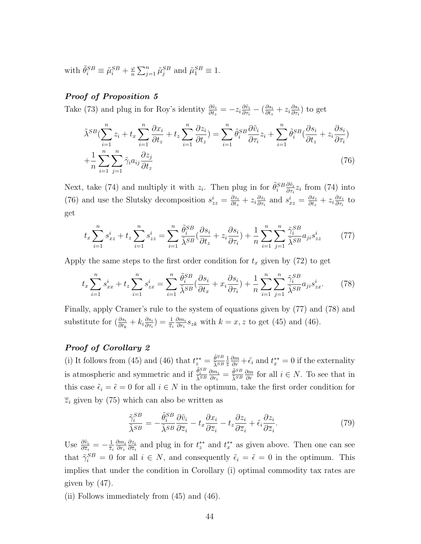with  $\tilde{\theta}_i^{SB} \equiv \tilde{\mu}_i^{SB} + \frac{\varphi}{n}$  $\frac{\varphi}{n} \sum_{j=1}^{n} \tilde{\mu}_{j}^{SB}$  and  $\tilde{\mu}_{1}^{SB} \equiv 1$ .

### Proof of Proposition 5

Take (73) and plug in for Roy's identity  $\frac{\partial \tilde{v}_i}{\partial t_z} = -z_i \frac{\partial \tilde{v}_i}{\partial \tau_i}$  $\frac{\partial \tilde{v}_i}{\partial \tau_i} - (\frac{\partial s_i}{\partial t_z}$  $\frac{\partial s_i}{\partial t_z}+z_i\frac{\partial s_i}{\partial \tau_i}$  $\frac{\partial s_i}{\partial \tau_i}$ ) to get

$$
\tilde{\lambda}^{SB}(\sum_{i=1}^{n} z_i + t_x \sum_{i=1}^{n} \frac{\partial x_i}{\partial t_z} + t_z \sum_{i=1}^{n} \frac{\partial z_i}{\partial t_z}) = \sum_{i=1}^{n} \tilde{\theta}_i^{SB} \frac{\partial \tilde{v}_i}{\partial \tau_i} z_i + \sum_{i=1}^{n} \tilde{\theta}_i^{SB} (\frac{\partial s_i}{\partial t_z} + z_i \frac{\partial s_i}{\partial \tau_i}) + \frac{1}{n} \sum_{i=1}^{n} \sum_{j=1}^{n} \tilde{\gamma}_i a_{ij} \frac{\partial z_j}{\partial t_z}
$$
\n(76)

Next, take (74) and multiply it with  $z_i$ . Then plug in for  $\tilde{\theta}_i^{SB}\frac{\partial \tilde{v}_i}{\partial \tau_i}$  $\frac{\partial v_i}{\partial \tau_i} z_i$  from (74) into (76) and use the Slutsky decomposition  $s_{zz}^i = \frac{\partial z_i}{\partial t_z}$  $\frac{\partial z_i}{\partial t_z}+z_i\frac{\partial z_i}{\partial \tau_i}$  $\frac{\partial z_i}{\partial \tau_i}$  and  $s_{xz}^i = \frac{\partial x_i}{\partial t_z}$  $\frac{\partial x_i}{\partial t_z} + z_i \frac{\partial x_i}{\partial \tau_i}$  $\frac{\partial x_i}{\partial \tau_i}$  to get

$$
t_x \sum_{i=1}^n s_{xz}^i + t_z \sum_{i=1}^n s_{zz}^i = \sum_{i=1}^n \frac{\tilde{\theta}_i^{SB}}{\tilde{\lambda}^{SB}} \left(\frac{\partial s_i}{\partial t_z} + z_i \frac{\partial s_i}{\partial \tau_i}\right) + \frac{1}{n} \sum_{i=1}^n \sum_{j=1}^n \frac{\tilde{\gamma}_i^{SB}}{\tilde{\lambda}^{SB}} a_{ji} s_{zz}^i \tag{77}
$$

Apply the same steps to the first order condition for  $t_x$  given by (72) to get

$$
t_x \sum_{i=1}^n s_{xx}^i + t_z \sum_{i=1}^n s_{zx}^i = \sum_{i=1}^n \frac{\tilde{\theta}_i^{SB}}{\tilde{\lambda}^{SB}} \left(\frac{\partial s_i}{\partial t_x} + x_i \frac{\partial s_i}{\partial \tau_i}\right) + \frac{1}{n} \sum_{i=1}^n \sum_{j=1}^n \frac{\tilde{\gamma}_i^{SB}}{\tilde{\lambda}^{SB}} a_{ji} s_{zx}^i. \tag{78}
$$

Finally, apply Cramer's rule to the system of equations given by (77) and (78) and substitute for  $\left(\frac{\partial s_i}{\partial t_k} + k_i \frac{\partial s_i}{\partial \tau_i}\right)$  $\frac{\partial s_i}{\partial \tau_i}) = \frac{1}{\overline{z}_i}$  $\underline{\partial m_i}$  $rac{dm_i}{\partial r_i}s_{zk}$  with  $k=x,z$  to get (45) and (46).

### Proof of Corollary 2

(i) It follows from (45) and (46) that  $t_z^{**} = \frac{\tilde{\theta}^{SB}}{\tilde{\lambda}^{SB}}$  $rac{\theta^{SB}}{\tilde{\lambda}^{SB}}\frac{1}{\tilde{z}}$ z  $\frac{\partial m}{\partial r} + \tilde{\epsilon}_i$  and  $t_x^{**} = 0$  if the externality is atmospheric and symmetric and if  $\frac{\tilde{\theta}_i^{SB}}{\tilde{\lambda}^{SB}} \frac{\partial m_i}{\partial r_i}$  $\frac{\partial m_i}{\partial r_i} = \frac{\tilde{\theta}^{SB}}{\tilde{\lambda}^{SB}}$  $\frac{\theta^{SB}}{\tilde{\lambda}^{SB}}\frac{\partial m}{\partial r}$  for all  $i \in N$ . To see that in this case  $\tilde{\epsilon}_i = \tilde{\epsilon} = 0$  for all  $i \in N$  in the optimum, take the first order condition for  $\overline{z}_i$  given by (75) which can also be written as

$$
\frac{\tilde{\gamma}_i^{SB}}{\tilde{\lambda}^{SB}} = -\frac{\tilde{\theta}_i^{SB}}{\tilde{\lambda}^{SB}} \frac{\partial \tilde{v}_i}{\partial \overline{z}_i} - t_x \frac{\partial x_i}{\partial \overline{z}_i} - t_z \frac{\partial z_i}{\partial \overline{z}_i} + \tilde{\epsilon}_i \frac{\partial z_i}{\partial \overline{z}_i}.
$$
\n(79)

Use  $\frac{\partial \tilde{v}_i}{\partial \overline{z}_i} = -\frac{1}{\overline{z}_i}$ zi  $\underline{\partial m_i}$ ∂ri  $\partial z_i$  $\frac{\partial z_i}{\partial \overline{z}_i}$  and plug in for  $t_z^{**}$ <sup>\*\*</sup> and  $t_x^{**}$  $x^*$  as given above. Then one can see that  $\tilde{\gamma}_i^{SB} = 0$  for all  $i \in N$ , and consequently  $\tilde{\epsilon}_i = \tilde{\epsilon} = 0$  in the optimum. This implies that under the condition in Corollary (i) optimal commodity tax rates are given by  $(47)$ .

(ii) Follows immediately from (45) and (46).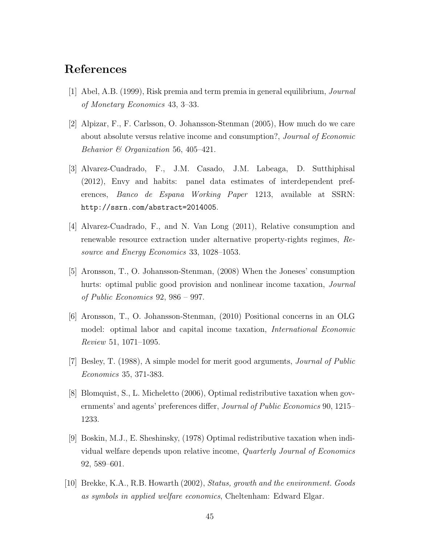# References

- [1] Abel, A.B. (1999), Risk premia and term premia in general equilibrium, Journal of Monetary Economics 43, 3–33.
- [2] Alpizar, F., F. Carlsson, O. Johansson-Stenman (2005), How much do we care about absolute versus relative income and consumption?, Journal of Economic Behavior & Organization 56, 405–421.
- [3] Alvarez-Cuadrado, F., J.M. Casado, J.M. Labeaga, D. Sutthiphisal (2012), Envy and habits: panel data estimates of interdependent preferences, Banco de Espana Working Paper 1213, available at SSRN: http://ssrn.com/abstract=2014005.
- [4] Alvarez-Cuadrado, F., and N. Van Long (2011), Relative consumption and renewable resource extraction under alternative property-rights regimes, Resource and Energy Economics 33, 1028–1053.
- [5] Aronsson, T., O. Johansson-Stenman, (2008) When the Joneses' consumption hurts: optimal public good provision and nonlinear income taxation, *Journal* of Public Economics 92, 986 – 997.
- [6] Aronsson, T., O. Johansson-Stenman, (2010) Positional concerns in an OLG model: optimal labor and capital income taxation, International Economic Review 51, 1071–1095.
- [7] Besley, T. (1988), A simple model for merit good arguments, Journal of Public Economics 35, 371-383.
- [8] Blomquist, S., L. Micheletto (2006), Optimal redistributive taxation when governments' and agents' preferences differ, Journal of Public Economics 90, 1215– 1233.
- [9] Boskin, M.J., E. Sheshinsky, (1978) Optimal redistributive taxation when individual welfare depends upon relative income, Quarterly Journal of Economics 92, 589–601.
- [10] Brekke, K.A., R.B. Howarth (2002), Status, growth and the environment. Goods as symbols in applied welfare economics, Cheltenham: Edward Elgar.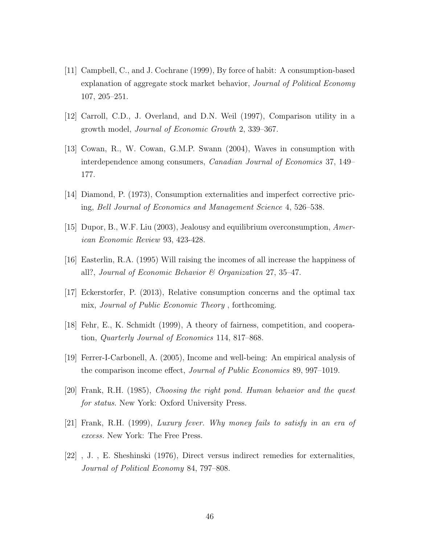- [11] Campbell, C., and J. Cochrane (1999), By force of habit: A consumption-based explanation of aggregate stock market behavior, Journal of Political Economy 107, 205–251.
- [12] Carroll, C.D., J. Overland, and D.N. Weil (1997), Comparison utility in a growth model, Journal of Economic Growth 2, 339–367.
- [13] Cowan, R., W. Cowan, G.M.P. Swann (2004), Waves in consumption with interdependence among consumers, Canadian Journal of Economics 37, 149– 177.
- [14] Diamond, P. (1973), Consumption externalities and imperfect corrective pricing, Bell Journal of Economics and Management Science 4, 526–538.
- [15] Dupor, B., W.F. Liu (2003), Jealousy and equilibrium overconsumption, American Economic Review 93, 423-428.
- [16] Easterlin, R.A. (1995) Will raising the incomes of all increase the happiness of all?, Journal of Economic Behavior  $\mathcal B$  Organization 27, 35–47.
- [17] Eckerstorfer, P. (2013), Relative consumption concerns and the optimal tax mix, Journal of Public Economic Theory , forthcoming.
- [18] Fehr, E., K. Schmidt (1999), A theory of fairness, competition, and cooperation, Quarterly Journal of Economics 114, 817–868.
- [19] Ferrer-I-Carbonell, A. (2005), Income and well-being: An empirical analysis of the comparison income effect, Journal of Public Economics 89, 997–1019.
- [20] Frank, R.H. (1985), Choosing the right pond. Human behavior and the quest for status. New York: Oxford University Press.
- [21] Frank, R.H. (1999), Luxury fever. Why money fails to satisfy in an era of excess. New York: The Free Press.
- [22] , J. , E. Sheshinski (1976), Direct versus indirect remedies for externalities, Journal of Political Economy 84, 797–808.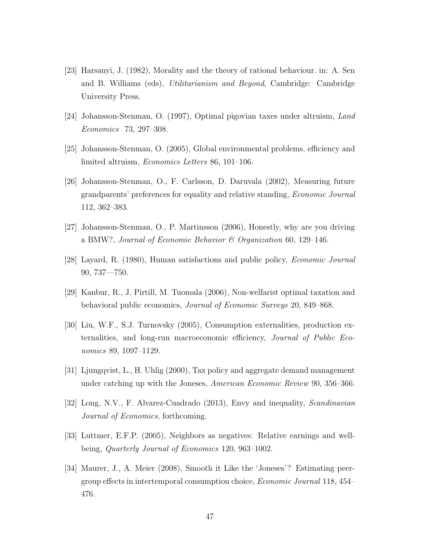- [23] Harsanyi, J. (1982), Morality and the theory of rational behaviour. in: A. Sen and B. Williams (eds), Utilitarianism and Beyond, Cambridge: Cambridge University Press.
- [24] Johansson-Stenman, O. (1997), Optimal pigovian taxes under altruism, Land Economics 73, 297–308.
- [25] Johansson-Stenman, O. (2005), Global environmental problems, efficiency and limited altruism, Economics Letters 86, 101–106.
- [26] Johansson-Stenman, O., F. Carlsson, D. Daruvala (2002), Measuring future grandparents' preferences for equality and relative standing, Economic Journal 112, 362–383.
- [27] Johansson-Stenman, O., P. Martinsson (2006), Honestly, why are you driving a BMW?, Journal of Economic Behavior & Organization 60, 129–146.
- [28] Layard, R. (1980), Human satisfactions and public policy, Economic Journal 90, 737—750.
- [29] Kanbur, R., J. Pirtill, M. Tuomala (2006), Non-welfarist optimal taxation and behavioral public economics, Journal of Economic Surveys 20, 849–868.
- [30] Liu, W.F., S.J. Turnovsky (2005), Consumption externalities, production externalities, and long-run macroeconomic efficiency, Journal of Public Economics 89, 1097–1129.
- [31] Ljungqvist, L., H. Uhlig (2000), Tax policy and aggregate demand management under catching up with the Joneses, *American Economic Review* 90, 356–366.
- [32] Long, N.V., F. Alvarez-Cuadrado (2013), Envy and inequality, Scandinavian Journal of Economics, forthcoming.
- [33] Luttmer, E.F.P. (2005), Neighbors as negatives: Relative earnings and wellbeing, Quarterly Journal of Economics 120, 963–1002.
- [34] Maurer, J., A. Meier (2008), Smooth it Like the 'Joneses'? Estimating peergroup effects in intertemporal consumption choice, Economic Journal 118, 454– 476.